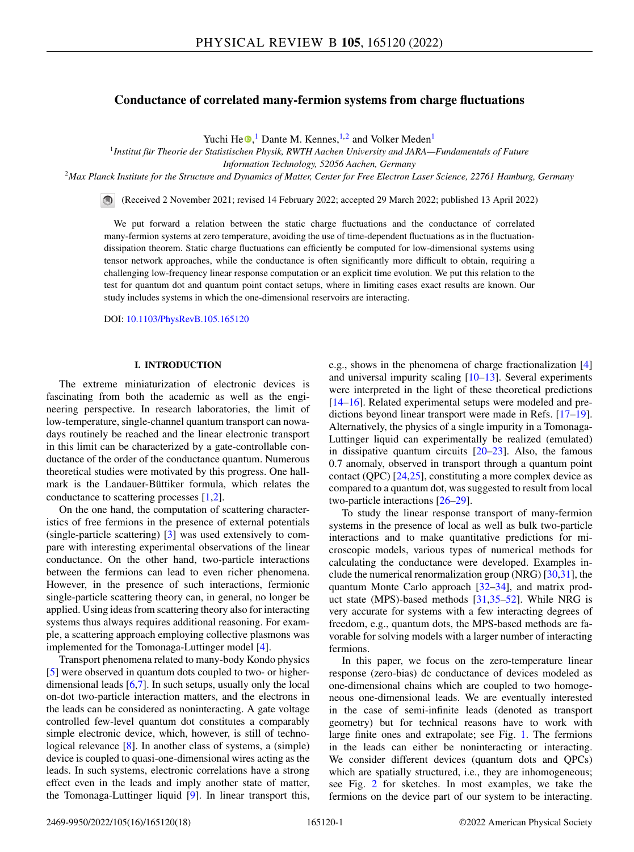# **Conductance of correlated many-fermion systems from charge fluctuations**

Yuchi H[e](https://orcid.org/0000-0003-3335-2398) $\mathbf{O}$ ,<sup>1</sup> Dante M. Kennes,<sup>1,2</sup> and Volker Meden<sup>1</sup>

<sup>1</sup>*Institut für Theorie der Statistischen Physik, RWTH Aachen University and JARA—Fundamentals of Future*

*Information Technology, 52056 Aachen, Germany*

<sup>2</sup>*Max Planck Institute for the Structure and Dynamics of Matter, Center for Free Electron Laser Science, 22761 Hamburg, Germany*

(Received 2 November 2021; revised 14 February 2022; accepted 29 March 2022; published 13 April 2022)

We put forward a relation between the static charge fluctuations and the conductance of correlated many-fermion systems at zero temperature, avoiding the use of time-dependent fluctuations as in the fluctuationdissipation theorem. Static charge fluctuations can efficiently be computed for low-dimensional systems using tensor network approaches, while the conductance is often significantly more difficult to obtain, requiring a challenging low-frequency linear response computation or an explicit time evolution. We put this relation to the test for quantum dot and quantum point contact setups, where in limiting cases exact results are known. Our study includes systems in which the one-dimensional reservoirs are interacting.

DOI: [10.1103/PhysRevB.105.165120](https://doi.org/10.1103/PhysRevB.105.165120)

## **I. INTRODUCTION**

The extreme miniaturization of electronic devices is fascinating from both the academic as well as the engineering perspective. In research laboratories, the limit of low-temperature, single-channel quantum transport can nowadays routinely be reached and the linear electronic transport in this limit can be characterized by a gate-controllable conductance of the order of the conductance quantum. Numerous theoretical studies were motivated by this progress. One hallmark is the Landauer-Büttiker formula, which relates the conductance to scattering processes [\[1,2\]](#page-15-0).

On the one hand, the computation of scattering characteristics of free fermions in the presence of external potentials (single-particle scattering) [\[3\]](#page-15-0) was used extensively to compare with interesting experimental observations of the linear conductance. On the other hand, two-particle interactions between the fermions can lead to even richer phenomena. However, in the presence of such interactions, fermionic single-particle scattering theory can, in general, no longer be applied. Using ideas from scattering theory also for interacting systems thus always requires additional reasoning. For example, a scattering approach employing collective plasmons was implemented for the Tomonaga-Luttinger model [\[4\]](#page-15-0).

Transport phenomena related to many-body Kondo physics [\[5\]](#page-15-0) were observed in quantum dots coupled to two- or higherdimensional leads [\[6,7\]](#page-15-0). In such setups, usually only the local on-dot two-particle interaction matters, and the electrons in the leads can be considered as noninteracting. A gate voltage controlled few-level quantum dot constitutes a comparably simple electronic device, which, however, is still of technological relevance [\[8\]](#page-15-0). In another class of systems, a (simple) device is coupled to quasi-one-dimensional wires acting as the leads. In such systems, electronic correlations have a strong effect even in the leads and imply another state of matter, the Tomonaga-Luttinger liquid [\[9\]](#page-15-0). In linear transport this,

e.g., shows in the phenomena of charge fractionalization [\[4\]](#page-15-0) and universal impurity scaling [\[10–13\]](#page-15-0). Several experiments were interpreted in the light of these theoretical predictions [\[14–16\]](#page-15-0). Related experimental setups were modeled and predictions beyond linear transport were made in Refs. [\[17–19\]](#page-15-0). Alternatively, the physics of a single impurity in a Tomonaga-Luttinger liquid can experimentally be realized (emulated) in dissipative quantum circuits  $[20-23]$ . Also, the famous 0.7 anomaly, observed in transport through a quantum point contact (QPC) [\[24,25\]](#page-15-0), constituting a more complex device as compared to a quantum dot, was suggested to result from local two-particle interactions [\[26–29\]](#page-15-0).

To study the linear response transport of many-fermion systems in the presence of local as well as bulk two-particle interactions and to make quantitative predictions for microscopic models, various types of numerical methods for calculating the conductance were developed. Examples include the numerical renormalization group (NRG) [\[30,31\]](#page-15-0), the quantum Monte Carlo approach [\[32–34\]](#page-15-0), and matrix product state (MPS)-based methods [\[31,35–](#page-15-0)[52\]](#page-16-0). While NRG is very accurate for systems with a few interacting degrees of freedom, e.g., quantum dots, the MPS-based methods are favorable for solving models with a larger number of interacting fermions.

In this paper, we focus on the zero-temperature linear response (zero-bias) dc conductance of devices modeled as one-dimensional chains which are coupled to two homogeneous one-dimensional leads. We are eventually interested in the case of semi-infinite leads (denoted as transport geometry) but for technical reasons have to work with large finite ones and extrapolate; see Fig. [1.](#page-1-0) The fermions in the leads can either be noninteracting or interacting. We consider different devices (quantum dots and QPCs) which are spatially structured, i.e., they are inhomogeneous; see Fig. [2](#page-1-0) for sketches. In most examples, we take the fermions on the device part of our system to be interacting.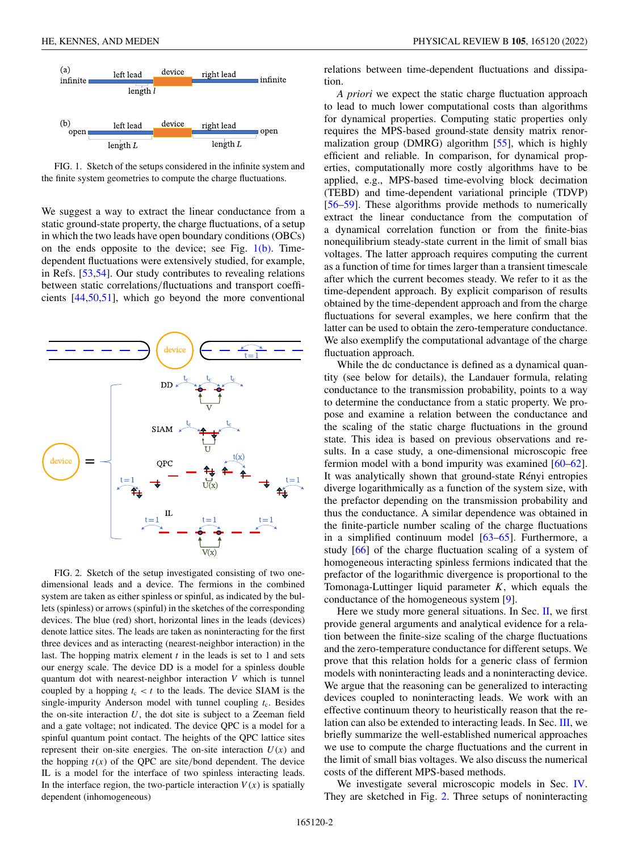<span id="page-1-0"></span>

FIG. 1. Sketch of the setups considered in the infinite system and the finite system geometries to compute the charge fluctuations.

We suggest a way to extract the linear conductance from a static ground-state property, the charge fluctuations, of a setup in which the two leads have open boundary conditions (OBCs) on the ends opposite to the device; see Fig.  $1(b)$ . Timedependent fluctuations were extensively studied, for example, in Refs. [\[53,54\]](#page-16-0). Our study contributes to revealing relations between static correlations/fluctuations and transport coefficients [\[44,50,51\]](#page-16-0), which go beyond the more conventional



FIG. 2. Sketch of the setup investigated consisting of two onedimensional leads and a device. The fermions in the combined system are taken as either spinless or spinful, as indicated by the bullets (spinless) or arrows (spinful) in the sketches of the corresponding devices. The blue (red) short, horizontal lines in the leads (devices) denote lattice sites. The leads are taken as noninteracting for the first three devices and as interacting (nearest-neighbor interaction) in the last. The hopping matrix element *t* in the leads is set to 1 and sets our energy scale. The device DD is a model for a spinless double quantum dot with nearest-neighbor interaction *V* which is tunnel coupled by a hopping  $t_c < t$  to the leads. The device SIAM is the single-impurity Anderson model with tunnel coupling  $t_c$ . Besides the on-site interaction  $U$ , the dot site is subject to a Zeeman field and a gate voltage; not indicated. The device QPC is a model for a spinful quantum point contact. The heights of the QPC lattice sites represent their on-site energies. The on-site interaction  $U(x)$  and the hopping  $t(x)$  of the QPC are site/bond dependent. The device IL is a model for the interface of two spinless interacting leads. In the interface region, the two-particle interaction  $V(x)$  is spatially dependent (inhomogeneous)

relations between time-dependent fluctuations and dissipation.

*A priori* we expect the static charge fluctuation approach to lead to much lower computational costs than algorithms for dynamical properties. Computing static properties only requires the MPS-based ground-state density matrix renormalization group (DMRG) algorithm [\[55\]](#page-16-0), which is highly efficient and reliable. In comparison, for dynamical properties, computationally more costly algorithms have to be applied, e.g., MPS-based time-evolving block decimation (TEBD) and time-dependent variational principle (TDVP) [\[56–59\]](#page-16-0). These algorithms provide methods to numerically extract the linear conductance from the computation of a dynamical correlation function or from the finite-bias nonequilibrium steady-state current in the limit of small bias voltages. The latter approach requires computing the current as a function of time for times larger than a transient timescale after which the current becomes steady. We refer to it as the time-dependent approach. By explicit comparison of results obtained by the time-dependent approach and from the charge fluctuations for several examples, we here confirm that the latter can be used to obtain the zero-temperature conductance. We also exemplify the computational advantage of the charge fluctuation approach.

While the dc conductance is defined as a dynamical quantity (see below for details), the Landauer formula, relating conductance to the transmission probability, points to a way to determine the conductance from a static property. We propose and examine a relation between the conductance and the scaling of the static charge fluctuations in the ground state. This idea is based on previous observations and results. In a case study, a one-dimensional microscopic free fermion model with a bond impurity was examined [\[60–62\]](#page-16-0). It was analytically shown that ground-state Rényi entropies diverge logarithmically as a function of the system size, with the prefactor depending on the transmission probability and thus the conductance. A similar dependence was obtained in the finite-particle number scaling of the charge fluctuations in a simplified continuum model [\[63–65\]](#page-16-0). Furthermore, a study [\[66\]](#page-16-0) of the charge fluctuation scaling of a system of homogeneous interacting spinless fermions indicated that the prefactor of the logarithmic divergence is proportional to the Tomonaga-Luttinger liquid parameter *K*, which equals the conductance of the homogeneous system [\[9\]](#page-15-0).

Here we study more general situations. In Sec. [II,](#page-2-0) we first provide general arguments and analytical evidence for a relation between the finite-size scaling of the charge fluctuations and the zero-temperature conductance for different setups. We prove that this relation holds for a generic class of fermion models with noninteracting leads and a noninteracting device. We argue that the reasoning can be generalized to interacting devices coupled to noninteracting leads. We work with an effective continuum theory to heuristically reason that the relation can also be extended to interacting leads. In Sec. [III,](#page-4-0) we briefly summarize the well-established numerical approaches we use to compute the charge fluctuations and the current in the limit of small bias voltages. We also discuss the numerical costs of the different MPS-based methods.

We investigate several microscopic models in Sec. [IV.](#page-6-0) They are sketched in Fig. 2. Three setups of noninteracting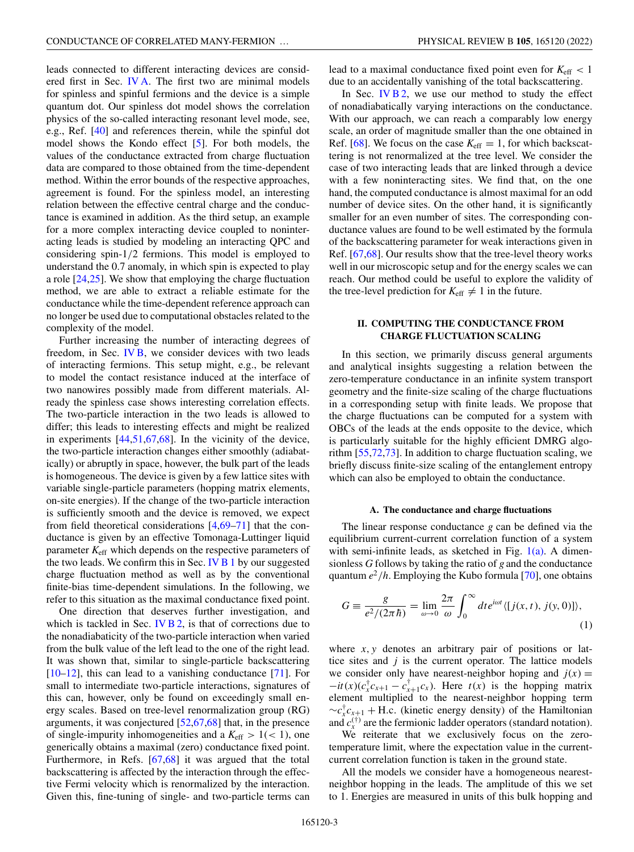<span id="page-2-0"></span>leads connected to different interacting devices are considered first in Sec. [IV A.](#page-6-0) The first two are minimal models for spinless and spinful fermions and the device is a simple quantum dot. Our spinless dot model shows the correlation physics of the so-called interacting resonant level mode, see, e.g., Ref. [\[40\]](#page-16-0) and references therein, while the spinful dot model shows the Kondo effect [\[5\]](#page-15-0). For both models, the values of the conductance extracted from charge fluctuation data are compared to those obtained from the time-dependent method. Within the error bounds of the respective approaches, agreement is found. For the spinless model, an interesting relation between the effective central charge and the conductance is examined in addition. As the third setup, an example for a more complex interacting device coupled to noninteracting leads is studied by modeling an interacting QPC and considering spin-1/2 fermions. This model is employed to understand the 0.7 anomaly, in which spin is expected to play a role [\[24,25\]](#page-15-0). We show that employing the charge fluctuation method, we are able to extract a reliable estimate for the conductance while the time-dependent reference approach can no longer be used due to computational obstacles related to the complexity of the model.

Further increasing the number of interacting degrees of freedom, in Sec. [IV B,](#page-8-0) we consider devices with two leads of interacting fermions. This setup might, e.g., be relevant to model the contact resistance induced at the interface of two nanowires possibly made from different materials. Already the spinless case shows interesting correlation effects. The two-particle interaction in the two leads is allowed to differ; this leads to interesting effects and might be realized in experiments [\[44,51,67,68\]](#page-16-0). In the vicinity of the device, the two-particle interaction changes either smoothly (adiabatically) or abruptly in space, however, the bulk part of the leads is homogeneous. The device is given by a few lattice sites with variable single-particle parameters (hopping matrix elements, on-site energies). If the change of the two-particle interaction is sufficiently smooth and the device is removed, we expect from field theoretical considerations [\[4,](#page-15-0)[69–71\]](#page-16-0) that the conductance is given by an effective Tomonaga-Luttinger liquid parameter *K*eff which depends on the respective parameters of the two leads. We confirm this in Sec. IV  $B1$  by our suggested charge fluctuation method as well as by the conventional finite-bias time-dependent simulations. In the following, we refer to this situation as the maximal conductance fixed point.

One direction that deserves further investigation, and which is tackled in Sec. IV  $B_2$ , is that of corrections due to the nonadiabaticity of the two-particle interaction when varied from the bulk value of the left lead to the one of the right lead. It was shown that, similar to single-particle backscattering [\[10–12\]](#page-15-0), this can lead to a vanishing conductance [\[71\]](#page-16-0). For small to intermediate two-particle interactions, signatures of this can, however, only be found on exceedingly small energy scales. Based on tree-level renormalization group (RG) arguments, it was conjectured [\[52,67,68\]](#page-16-0) that, in the presence of single-impurity inhomogeneities and a  $K_{\text{eff}} > 1 \, < 1$ , one generically obtains a maximal (zero) conductance fixed point. Furthermore, in Refs. [\[67,68\]](#page-16-0) it was argued that the total backscattering is affected by the interaction through the effective Fermi velocity which is renormalized by the interaction. Given this, fine-tuning of single- and two-particle terms can lead to a maximal conductance fixed point even for  $K_{\text{eff}} < 1$ due to an accidentally vanishing of the total backscattering.

In Sec. IV  $B$  2, we use our method to study the effect of nonadiabatically varying interactions on the conductance. With our approach, we can reach a comparably low energy scale, an order of magnitude smaller than the one obtained in Ref. [\[68\]](#page-16-0). We focus on the case  $K_{\text{eff}} = 1$ , for which backscattering is not renormalized at the tree level. We consider the case of two interacting leads that are linked through a device with a few noninteracting sites. We find that, on the one hand, the computed conductance is almost maximal for an odd number of device sites. On the other hand, it is significantly smaller for an even number of sites. The corresponding conductance values are found to be well estimated by the formula of the backscattering parameter for weak interactions given in Ref. [\[67,68\]](#page-16-0). Our results show that the tree-level theory works well in our microscopic setup and for the energy scales we can reach. Our method could be useful to explore the validity of the tree-level prediction for  $K_{\text{eff}} \neq 1$  in the future.

# **II. COMPUTING THE CONDUCTANCE FROM CHARGE FLUCTUATION SCALING**

In this section, we primarily discuss general arguments and analytical insights suggesting a relation between the zero-temperature conductance in an infinite system transport geometry and the finite-size scaling of the charge fluctuations in a corresponding setup with finite leads. We propose that the charge fluctuations can be computed for a system with OBCs of the leads at the ends opposite to the device, which is particularly suitable for the highly efficient DMRG algorithm [\[55,72,73\]](#page-16-0). In addition to charge fluctuation scaling, we briefly discuss finite-size scaling of the entanglement entropy which can also be employed to obtain the conductance.

#### **A. The conductance and charge fluctuations**

The linear response conductance *g* can be defined via the equilibrium current-current correlation function of a system with semi-infinite leads, as sketched in Fig.  $1(a)$ . A dimensionless *G* follows by taking the ratio of *g* and the conductance quantum  $e^2/h$ . Employing the Kubo formula [\[70\]](#page-16-0), one obtains

$$
G \equiv \frac{g}{e^2/(2\pi\hbar)} = \lim_{\omega \to 0} \frac{2\pi}{\omega} \int_0^\infty dt e^{i\omega t} \langle [j(x, t), j(y, 0)] \rangle,
$$
\n(1)

where *x*, *y* denotes an arbitrary pair of positions or lattice sites and *j* is the current operator. The lattice models we consider only have nearest-neighbor hoping and  $j(x)$  =  $-it(x)(c_x^{\dagger}c_{x+1} - c_{x+1}^{\dagger}c_x)$ . Here  $t(x)$  is the hopping matrix element multiplied to the nearest-neighbor hopping term  $\sim c_x^{\dagger} c_{x+1} + H.c.$  (kinetic energy density) of the Hamiltonian and  $c_x^{(\dagger)}$  are the fermionic ladder operators (standard notation).

We reiterate that we exclusively focus on the zerotemperature limit, where the expectation value in the currentcurrent correlation function is taken in the ground state.

All the models we consider have a homogeneous nearestneighbor hopping in the leads. The amplitude of this we set to 1. Energies are measured in units of this bulk hopping and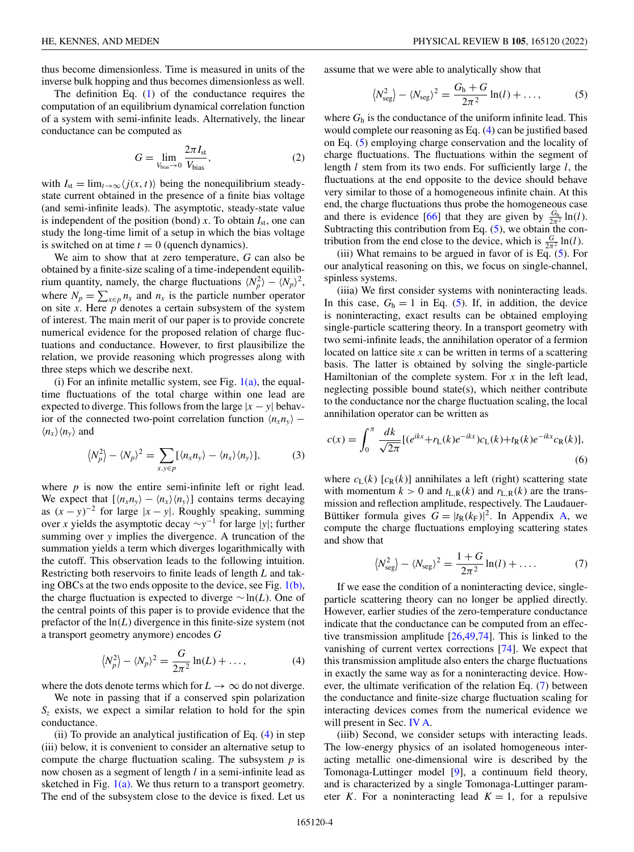<span id="page-3-0"></span>thus become dimensionless. Time is measured in units of the inverse bulk hopping and thus becomes dimensionless as well.

The definition Eq. [\(1\)](#page-2-0) of the conductance requires the computation of an equilibrium dynamical correlation function of a system with semi-infinite leads. Alternatively, the linear conductance can be computed as

$$
G = \lim_{V_{bias} \to 0} \frac{2\pi I_{st}}{V_{bias}},
$$
 (2)

with  $I_{st} = \lim_{t \to \infty} \langle j(x, t) \rangle$  being the nonequilibrium steadystate current obtained in the presence of a finite bias voltage (and semi-infinite leads). The asymptotic, steady-state value is independent of the position (bond)  $x$ . To obtain  $I_{st}$ , one can study the long-time limit of a setup in which the bias voltage is switched on at time  $t = 0$  (quench dynamics).

We aim to show that at zero temperature, *G* can also be obtained by a finite-size scaling of a time-independent equilibrium quantity, namely, the charge fluctuations  $\langle N_p^2 \rangle - \langle N_p \rangle^2$ , where  $N_p = \sum_{x \in p} n_x$  and  $n_x$  is the particle number operator on site *x*. Here  $p$  denotes a certain subsystem of the system of interest. The main merit of our paper is to provide concrete numerical evidence for the proposed relation of charge fluctuations and conductance. However, to first plausibilize the relation, we provide reasoning which progresses along with three steps which we describe next.

(i) For an infinite metallic system, see Fig.  $1(a)$ , the equaltime fluctuations of the total charge within one lead are expected to diverge. This follows from the large  $|x - y|$  behavior of the connected two-point correlation function  $\langle n_x n_y \rangle$  –  $\langle n_x \rangle \langle n_y \rangle$  and

$$
\langle N_p^2 \rangle - \langle N_p \rangle^2 = \sum_{x, y \in p} [\langle n_x n_y \rangle - \langle n_x \rangle \langle n_y \rangle], \tag{3}
$$

where  $p$  is now the entire semi-infinite left or right lead. We expect that  $[\langle n_x n_y \rangle - \langle n_x \rangle \langle n_y \rangle]$  contains terms decaying as  $(x - y)^{-2}$  for large  $|x - y|$ . Roughly speaking, summing over *x* yields the asymptotic decay ∼*y*−<sup>1</sup> for large |*y*|; further summing over *y* implies the divergence. A truncation of the summation yields a term which diverges logarithmically with the cutoff. This observation leads to the following intuition. Restricting both reservoirs to finite leads of length *L* and taking OBCs at the two ends opposite to the device, see Fig. [1\(b\),](#page-1-0) the charge fluctuation is expected to diverge ∼ ln(*L*). One of the central points of this paper is to provide evidence that the prefactor of the ln(*L*) divergence in this finite-size system (not a transport geometry anymore) encodes *G*

$$
\langle N_p^2 \rangle - \langle N_p \rangle^2 = \frac{G}{2\pi^2} \ln(L) + \dots,
$$
 (4)

where the dots denote terms which for  $L \to \infty$  do not diverge.

We note in passing that if a conserved spin polarization  $S<sub>z</sub>$  exists, we expect a similar relation to hold for the spin conductance.

(ii) To provide an analytical justification of Eq.  $(4)$  in step (iii) below, it is convenient to consider an alternative setup to compute the charge fluctuation scaling. The subsystem *p* is now chosen as a segment of length *l* in a semi-infinite lead as sketched in Fig.  $1(a)$ . We thus return to a transport geometry. The end of the subsystem close to the device is fixed. Let us assume that we were able to analytically show that

$$
\langle N_{\text{seg}}^2 \rangle - \langle N_{\text{seg}} \rangle^2 = \frac{G_{\text{h}} + G}{2\pi^2} \ln(l) + \dots,\tag{5}
$$

where *G*<sup>h</sup> is the conductance of the uniform infinite lead. This would complete our reasoning as Eq. (4) can be justified based on Eq. (5) employing charge conservation and the locality of charge fluctuations. The fluctuations within the segment of length *l* stem from its two ends. For sufficiently large *l*, the fluctuations at the end opposite to the device should behave very similar to those of a homogeneous infinite chain. At this end, the charge fluctuations thus probe the homogeneous case and there is evidence [\[66\]](#page-16-0) that they are given by  $\frac{G_{\text{h}}}{2\pi^2} \ln(l)$ . Subtracting this contribution from Eq.  $(5)$ , we obtain the contribution from the end close to the device, which is  $\frac{G}{2\pi^2} \ln(l)$ .

(iii) What remains to be argued in favor of is Eq. (5). For our analytical reasoning on this, we focus on single-channel, spinless systems.

(iiia) We first consider systems with noninteracting leads. In this case,  $G_h = 1$  in Eq. (5). If, in addition, the device is noninteracting, exact results can be obtained employing single-particle scattering theory. In a transport geometry with two semi-infinite leads, the annihilation operator of a fermion located on lattice site *x* can be written in terms of a scattering basis. The latter is obtained by solving the single-particle Hamiltonian of the complete system. For *x* in the left lead, neglecting possible bound state(s), which neither contribute to the conductance nor the charge fluctuation scaling, the local annihilation operator can be written as

$$
c(x) = \int_0^{\pi} \frac{dk}{\sqrt{2\pi}} [(e^{ikx} + r_L(k)e^{-ikx})c_L(k) + t_R(k)e^{-ikx}c_R(k)],
$$
\n(6)

where  $c_L(k)$  [ $c_R(k)$ ] annihilates a left (right) scattering state with momentum  $k > 0$  and  $t_{L,R}(k)$  and  $r_{L,R}(k)$  are the transmission and reflection amplitude, respectively. The Laudauer-Büttiker formula gives  $G = |t_R(k_F)|^2$ . In Appendix [A,](#page-11-0) we compute the charge fluctuations employing scattering states and show that

$$
\langle N_{\text{seg}}^2 \rangle - \langle N_{\text{seg}} \rangle^2 = \frac{1+G}{2\pi^2} \ln(l) + \dots
$$
 (7)

If we ease the condition of a noninteracting device, singleparticle scattering theory can no longer be applied directly. However, earlier studies of the zero-temperature conductance indicate that the conductance can be computed from an effective transmission amplitude [\[26](#page-15-0)[,49,74\]](#page-16-0). This is linked to the vanishing of current vertex corrections [\[74\]](#page-16-0). We expect that this transmission amplitude also enters the charge fluctuations in exactly the same way as for a noninteracting device. However, the ultimate verification of the relation Eq. (7) between the conductance and finite-size charge fluctuation scaling for interacting devices comes from the numerical evidence we will present in Sec. [IV A.](#page-6-0)

(iiib) Second, we consider setups with interacting leads. The low-energy physics of an isolated homogeneous interacting metallic one-dimensional wire is described by the Tomonaga-Luttinger model [\[9\]](#page-15-0), a continuum field theory, and is characterized by a single Tomonaga-Luttinger parameter *K*. For a noninteracting lead  $K = 1$ , for a repulsive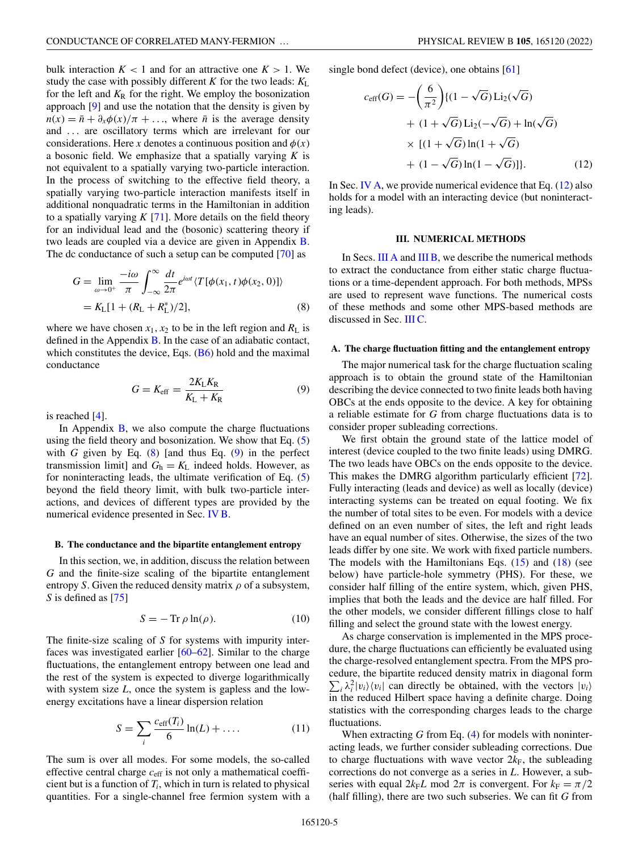<span id="page-4-0"></span>bulk interaction  $K < 1$  and for an attractive one  $K > 1$ . We study the case with possibly different *K* for the two leads:  $K_{\text{L}}$ for the left and  $K_R$  for the right. We employ the bosonization approach [\[9\]](#page-15-0) and use the notation that the density is given by  $n(x) = \bar{n} + \partial_x \phi(x)/\pi + \ldots$ , where  $\bar{n}$  is the average density and ... are oscillatory terms which are irrelevant for our considerations. Here *x* denotes a continuous position and  $\phi(x)$ a bosonic field. We emphasize that a spatially varying *K* is not equivalent to a spatially varying two-particle interaction. In the process of switching to the effective field theory, a spatially varying two-particle interaction manifests itself in additional nonquadratic terms in the Hamiltonian in addition to a spatially varying  $K$  [\[71\]](#page-16-0). More details on the field theory for an individual lead and the (bosonic) scattering theory if two leads are coupled via a device are given in Appendix [B.](#page-13-0) The dc conductance of such a setup can be computed [\[70\]](#page-16-0) as

$$
G = \lim_{\omega \to 0^{+}} \frac{-i\omega}{\pi} \int_{-\infty}^{\infty} \frac{dt}{2\pi} e^{i\omega t} \langle T[\phi(x_1, t)\phi(x_2, 0)] \rangle
$$
  
=  $K_L[1 + (R_L + R_L^*)/2],$  (8)

where we have chosen  $x_1, x_2$  to be in the left region and  $R_L$  is defined in the Appendix [B.](#page-13-0) In the case of an adiabatic contact, which constitutes the device, Eqs.  $(B6)$  hold and the maximal conductance

$$
G = K_{\rm eff} = \frac{2K_{\rm L}K_{\rm R}}{K_{\rm L} + K_{\rm R}}\tag{9}
$$

is reached [\[4\]](#page-15-0).

In Appendix  $\overline{B}$ , we also compute the charge fluctuations using the field theory and bosonization. We show that Eq. [\(5\)](#page-3-0) with *G* given by Eq.  $(8)$  [and thus Eq.  $(9)$  in the perfect transmission limit] and  $G_h = K_L$  indeed holds. However, as for noninteracting leads, the ultimate verification of Eq. [\(5\)](#page-3-0) beyond the field theory limit, with bulk two-particle interactions, and devices of different types are provided by the numerical evidence presented in Sec. [IV B.](#page-8-0)

## **B. The conductance and the bipartite entanglement entropy**

In this section, we, in addition, discuss the relation between *G* and the finite-size scaling of the bipartite entanglement entropy *S*. Given the reduced density matrix  $\rho$  of a subsystem, *S* is defined as [\[75\]](#page-16-0)

$$
S = -\operatorname{Tr}\rho\ln(\rho). \tag{10}
$$

The finite-size scaling of *S* for systems with impurity interfaces was investigated earlier [\[60–62\]](#page-16-0). Similar to the charge fluctuations, the entanglement entropy between one lead and the rest of the system is expected to diverge logarithmically with system size *L*, once the system is gapless and the lowenergy excitations have a linear dispersion relation

$$
S = \sum_{i} \frac{c_{\text{eff}}(T_i)}{6} \ln(L) + \dots \tag{11}
$$

The sum is over all modes. For some models, the so-called effective central charge *c*eff is not only a mathematical coefficient but is a function of  $T_i$ , which in turn is related to physical quantities. For a single-channel free fermion system with a single bond defect (device), one obtains [\[61\]](#page-16-0)

$$
c_{\text{eff}}(G) = -\left(\frac{6}{\pi^2}\right) \{(1 - \sqrt{G}) \text{Li}_2(\sqrt{G})
$$

$$
+ (1 + \sqrt{G}) \text{Li}_2(-\sqrt{G}) + \ln(\sqrt{G})
$$

$$
\times [(1 + \sqrt{G}) \ln(1 + \sqrt{G})]
$$

$$
+ (1 - \sqrt{G}) \ln(1 - \sqrt{G})]\}. \tag{12}
$$

In Sec. [IV A,](#page-6-0) we provide numerical evidence that Eq.  $(12)$  also holds for a model with an interacting device (but noninteracting leads).

## **III. NUMERICAL METHODS**

In Secs. III A and [III B,](#page-5-0) we describe the numerical methods to extract the conductance from either static charge fluctuations or a time-dependent approach. For both methods, MPSs are used to represent wave functions. The numerical costs of these methods and some other MPS-based methods are discussed in Sec. [III C.](#page-5-0)

## **A. The charge fluctuation fitting and the entanglement entropy**

The major numerical task for the charge fluctuation scaling approach is to obtain the ground state of the Hamiltonian describing the device connected to two finite leads both having OBCs at the ends opposite to the device. A key for obtaining a reliable estimate for *G* from charge fluctuations data is to consider proper subleading corrections.

We first obtain the ground state of the lattice model of interest (device coupled to the two finite leads) using DMRG. The two leads have OBCs on the ends opposite to the device. This makes the DMRG algorithm particularly efficient [\[72\]](#page-16-0). Fully interacting (leads and device) as well as locally (device) interacting systems can be treated on equal footing. We fix the number of total sites to be even. For models with a device defined on an even number of sites, the left and right leads have an equal number of sites. Otherwise, the sizes of the two leads differ by one site. We work with fixed particle numbers. The models with the Hamiltonians Eqs.  $(15)$  and  $(18)$  (see below) have particle-hole symmetry (PHS). For these, we consider half filling of the entire system, which, given PHS, implies that both the leads and the device are half filled. For the other models, we consider different fillings close to half filling and select the ground state with the lowest energy.

As charge conservation is implemented in the MPS procedure, the charge fluctuations can efficiently be evaluated using the charge-resolved entanglement spectra. From the MPS procedure, the bipartite reduced density matrix in diagonal form  $\sum_i \lambda_i^2 |v_i\rangle \langle v_i|$  can directly be obtained, with the vectors  $|v_i\rangle$ in the reduced Hilbert space having a definite charge. Doing statistics with the corresponding charges leads to the charge fluctuations.

When extracting *G* from Eq. [\(4\)](#page-3-0) for models with noninteracting leads, we further consider subleading corrections. Due to charge fluctuations with wave vector  $2k_F$ , the subleading corrections do not converge as a series in *L*. However, a subseries with equal  $2k_F L$  mod  $2\pi$  is convergent. For  $k_F = \pi/2$ (half filling), there are two such subseries. We can fit *G* from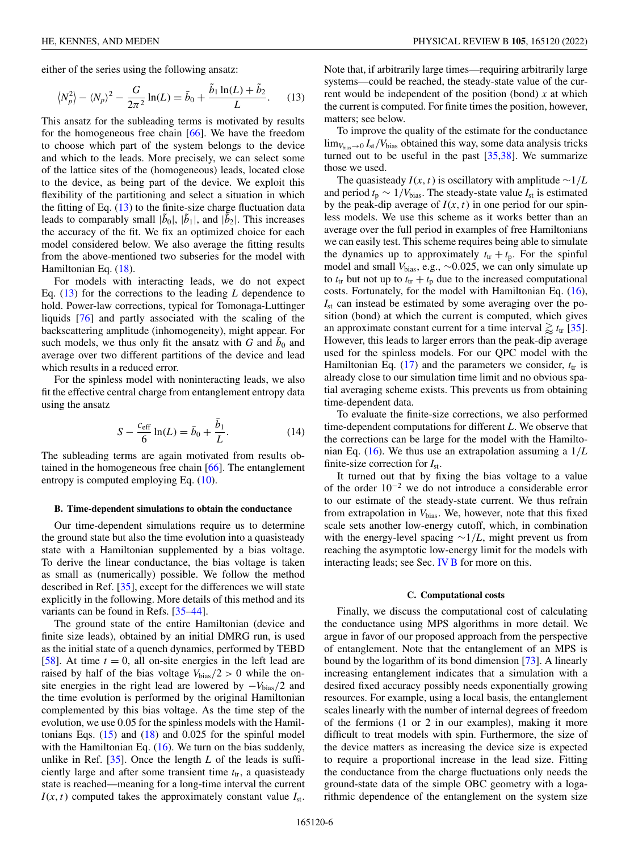<span id="page-5-0"></span>either of the series using the following ansatz:

$$
\langle N_p^2 \rangle - \langle N_p \rangle^2 - \frac{G}{2\pi^2} \ln(L) = \tilde{b}_0 + \frac{\tilde{b}_1 \ln(L) + \tilde{b}_2}{L}.
$$
 (13)

This ansatz for the subleading terms is motivated by results for the homogeneous free chain [\[66\]](#page-16-0). We have the freedom to choose which part of the system belongs to the device and which to the leads. More precisely, we can select some of the lattice sites of the (homogeneous) leads, located close to the device, as being part of the device. We exploit this flexibility of the partitioning and select a situation in which the fitting of Eq.  $(13)$  to the finite-size charge fluctuation data leads to comparably small  $|\tilde{b}_0|$ ,  $|\tilde{b}_1|$ , and  $|\tilde{b}_2|$ . This increases the accuracy of the fit. We fix an optimized choice for each model considered below. We also average the fitting results from the above-mentioned two subseries for the model with Hamiltonian Eq. [\(18\)](#page-8-0).

For models with interacting leads, we do not expect Eq. (13) for the corrections to the leading *L* dependence to hold. Power-law corrections, typical for Tomonaga-Luttinger liquids [\[76\]](#page-16-0) and partly associated with the scaling of the backscattering amplitude (inhomogeneity), might appear. For such models, we thus only fit the ansatz with  $G$  and  $b_0$  and average over two different partitions of the device and lead which results in a reduced error.

For the spinless model with noninteracting leads, we also fit the effective central charge from entanglement entropy data using the ansatz

$$
S - \frac{c_{\text{eff}}}{6} \ln(L) = \bar{b}_0 + \frac{\bar{b}_1}{L}.
$$
 (14)

The subleading terms are again motivated from results obtained in the homogeneous free chain [\[66\]](#page-16-0). The entanglement entropy is computed employing Eq. [\(10\)](#page-4-0).

### **B. Time-dependent simulations to obtain the conductance**

Our time-dependent simulations require us to determine the ground state but also the time evolution into a quasisteady state with a Hamiltonian supplemented by a bias voltage. To derive the linear conductance, the bias voltage is taken as small as (numerically) possible. We follow the method described in Ref. [\[35\]](#page-15-0), except for the differences we will state explicitly in the following. More details of this method and its variants can be found in Refs. [\[35](#page-15-0)[–44\]](#page-16-0).

The ground state of the entire Hamiltonian (device and finite size leads), obtained by an initial DMRG run, is used as the initial state of a quench dynamics, performed by TEBD [\[58\]](#page-16-0). At time  $t = 0$ , all on-site energies in the left lead are raised by half of the bias voltage  $V_{bias}/2 > 0$  while the onsite energies in the right lead are lowered by −*V*bias/2 and the time evolution is performed by the original Hamiltonian complemented by this bias voltage. As the time step of the evolution, we use 0.05 for the spinless models with the Hamiltonians Eqs.  $(15)$  and  $(18)$  and  $0.025$  for the spinful model with the Hamiltonian Eq. [\(16\)](#page-7-0). We turn on the bias suddenly, unlike in Ref. [\[35\]](#page-15-0). Once the length *L* of the leads is sufficiently large and after some transient time  $t_{tr}$ , a quasisteady state is reached—meaning for a long-time interval the current  $I(x, t)$  computed takes the approximately constant value  $I_{st}$ .

Note that, if arbitrarily large times—requiring arbitrarily large systems—could be reached, the steady-state value of the current would be independent of the position (bond) *x* at which the current is computed. For finite times the position, however, matters; see below.

To improve the quality of the estimate for the conductance  $\lim_{V_{\text{bias}} \to 0} I_{\text{st}}/V_{\text{bias}}$  obtained this way, some data analysis tricks turned out to be useful in the past [\[35](#page-15-0)[,38\]](#page-16-0). We summarize those we used.

The quasisteady  $I(x, t)$  is oscillatory with amplitude  $\sim 1/L$ and period  $t_p \sim 1/V_{bias}$ . The steady-state value  $I_{st}$  is estimated by the peak-dip average of  $I(x, t)$  in one period for our spinless models. We use this scheme as it works better than an average over the full period in examples of free Hamiltonians we can easily test. This scheme requires being able to simulate the dynamics up to approximately  $t_{tr} + t_p$ . For the spinful model and small *V*bias, e.g., ∼0.025, we can only simulate up to  $t_{tr}$  but not up to  $t_{tr} + t_p$  due to the increased computational costs. Fortunately, for the model with Hamiltonian Eq. [\(16\)](#page-7-0), *I*st can instead be estimated by some averaging over the position (bond) at which the current is computed, which gives an approximate constant current for a time interval  $\gtrapprox t_{tr}$  [\[35\]](#page-15-0). However, this leads to larger errors than the peak-dip average used for the spinless models. For our QPC model with the Hamiltonian Eq.  $(17)$  and the parameters we consider,  $t_{tr}$  is already close to our simulation time limit and no obvious spatial averaging scheme exists. This prevents us from obtaining time-dependent data.

To evaluate the finite-size corrections, we also performed time-dependent computations for different *L*. We observe that the corrections can be large for the model with the Hamiltonian Eq. [\(16\)](#page-7-0). We thus use an extrapolation assuming a 1/*L* finite-size correction for *I*st.

It turned out that by fixing the bias voltage to a value of the order 10<sup>−</sup><sup>2</sup> we do not introduce a considerable error to our estimate of the steady-state current. We thus refrain from extrapolation in  $V_{bias}$ . We, however, note that this fixed scale sets another low-energy cutoff, which, in combination with the energy-level spacing ∼1/*L*, might prevent us from reaching the asymptotic low-energy limit for the models with interacting leads; see Sec. [IV B](#page-8-0) for more on this.

### **C. Computational costs**

Finally, we discuss the computational cost of calculating the conductance using MPS algorithms in more detail. We argue in favor of our proposed approach from the perspective of entanglement. Note that the entanglement of an MPS is bound by the logarithm of its bond dimension [\[73\]](#page-16-0). A linearly increasing entanglement indicates that a simulation with a desired fixed accuracy possibly needs exponentially growing resources. For example, using a local basis, the entanglement scales linearly with the number of internal degrees of freedom of the fermions (1 or 2 in our examples), making it more difficult to treat models with spin. Furthermore, the size of the device matters as increasing the device size is expected to require a proportional increase in the lead size. Fitting the conductance from the charge fluctuations only needs the ground-state data of the simple OBC geometry with a logarithmic dependence of the entanglement on the system size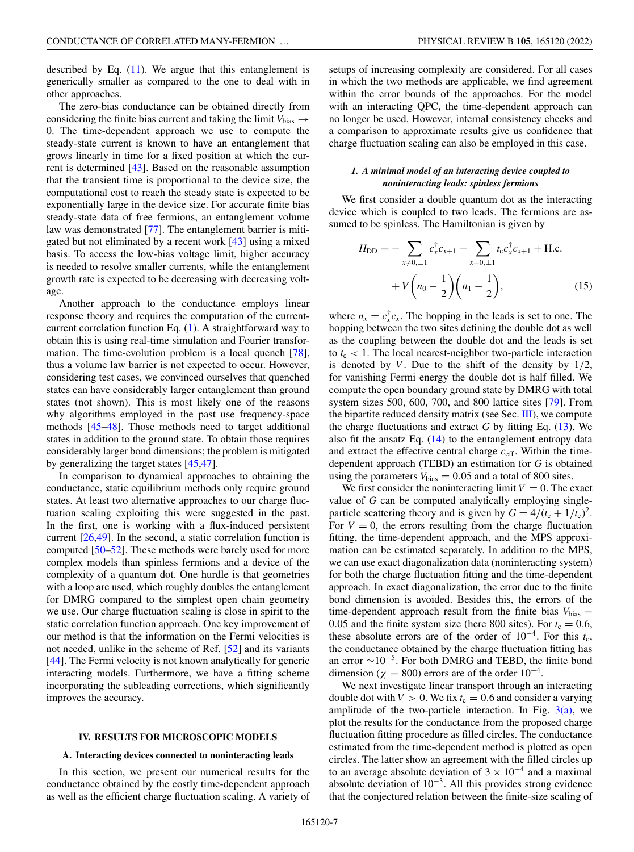<span id="page-6-0"></span>described by Eq.  $(11)$ . We argue that this entanglement is generically smaller as compared to the one to deal with in other approaches.

The zero-bias conductance can be obtained directly from considering the finite bias current and taking the limit  $V_{bias} \rightarrow$ 0. The time-dependent approach we use to compute the steady-state current is known to have an entanglement that grows linearly in time for a fixed position at which the current is determined [\[43\]](#page-16-0). Based on the reasonable assumption that the transient time is proportional to the device size, the computational cost to reach the steady state is expected to be exponentially large in the device size. For accurate finite bias steady-state data of free fermions, an entanglement volume law was demonstrated [\[77\]](#page-17-0). The entanglement barrier is mitigated but not eliminated by a recent work [\[43\]](#page-16-0) using a mixed basis. To access the low-bias voltage limit, higher accuracy is needed to resolve smaller currents, while the entanglement growth rate is expected to be decreasing with decreasing voltage.

Another approach to the conductance employs linear response theory and requires the computation of the currentcurrent correlation function Eq. [\(1\)](#page-2-0). A straightforward way to obtain this is using real-time simulation and Fourier transformation. The time-evolution problem is a local quench [\[78\]](#page-17-0), thus a volume law barrier is not expected to occur. However, considering test cases, we convinced ourselves that quenched states can have considerably larger entanglement than ground states (not shown). This is most likely one of the reasons why algorithms employed in the past use frequency-space methods [\[45–48\]](#page-16-0). Those methods need to target additional states in addition to the ground state. To obtain those requires considerably larger bond dimensions; the problem is mitigated by generalizing the target states [\[45,47\]](#page-16-0).

In comparison to dynamical approaches to obtaining the conductance, static equilibrium methods only require ground states. At least two alternative approaches to our charge fluctuation scaling exploiting this were suggested in the past. In the first, one is working with a flux-induced persistent current [\[26](#page-15-0)[,49\]](#page-16-0). In the second, a static correlation function is computed [\[50–52\]](#page-16-0). These methods were barely used for more complex models than spinless fermions and a device of the complexity of a quantum dot. One hurdle is that geometries with a loop are used, which roughly doubles the entanglement for DMRG compared to the simplest open chain geometry we use. Our charge fluctuation scaling is close in spirit to the static correlation function approach. One key improvement of our method is that the information on the Fermi velocities is not needed, unlike in the scheme of Ref. [\[52\]](#page-16-0) and its variants [\[44\]](#page-16-0). The Fermi velocity is not known analytically for generic interacting models. Furthermore, we have a fitting scheme incorporating the subleading corrections, which significantly improves the accuracy.

### **IV. RESULTS FOR MICROSCOPIC MODELS**

## **A. Interacting devices connected to noninteracting leads**

In this section, we present our numerical results for the conductance obtained by the costly time-dependent approach as well as the efficient charge fluctuation scaling. A variety of

setups of increasing complexity are considered. For all cases in which the two methods are applicable, we find agreement within the error bounds of the approaches. For the model with an interacting QPC, the time-dependent approach can no longer be used. However, internal consistency checks and a comparison to approximate results give us confidence that charge fluctuation scaling can also be employed in this case.

# *1. A minimal model of an interacting device coupled to noninteracting leads: spinless fermions*

We first consider a double quantum dot as the interacting device which is coupled to two leads. The fermions are assumed to be spinless. The Hamiltonian is given by

$$
H_{\rm DD} = -\sum_{x \neq 0, \pm 1} c_x^{\dagger} c_{x+1} - \sum_{x=0, \pm 1} t_{\rm c} c_x^{\dagger} c_{x+1} + \text{H.c.}
$$

$$
+ V\left(n_0 - \frac{1}{2}\right) \left(n_1 - \frac{1}{2}\right), \tag{15}
$$

where  $n_x = c_x^{\dagger} c_x$ . The hopping in the leads is set to one. The hopping between the two sites defining the double dot as well as the coupling between the double dot and the leads is set to  $t_c$  < 1. The local nearest-neighbor two-particle interaction is denoted by *V*. Due to the shift of the density by  $1/2$ , for vanishing Fermi energy the double dot is half filled. We compute the open boundary ground state by DMRG with total system sizes 500, 600, 700, and 800 lattice sites [\[79\]](#page-17-0). From the bipartite reduced density matrix (see Sec. [III\)](#page-4-0), we compute the charge fluctuations and extract  $G$  by fitting Eq.  $(13)$ . We also fit the ansatz Eq.  $(14)$  to the entanglement entropy data and extract the effective central charge  $c_{\text{eff}}$ . Within the timedependent approach (TEBD) an estimation for *G* is obtained using the parameters  $V_{bias} = 0.05$  and a total of 800 sites.

We first consider the noninteracting limit  $V = 0$ . The exact value of *G* can be computed analytically employing singleparticle scattering theory and is given by  $G = 4/(t_c + 1/t_c)^2$ . For  $V = 0$ , the errors resulting from the charge fluctuation fitting, the time-dependent approach, and the MPS approximation can be estimated separately. In addition to the MPS, we can use exact diagonalization data (noninteracting system) for both the charge fluctuation fitting and the time-dependent approach. In exact diagonalization, the error due to the finite bond dimension is avoided. Besides this, the errors of the time-dependent approach result from the finite bias  $V_{bias}$  = 0.05 and the finite system size (here 800 sites). For  $t_c = 0.6$ , these absolute errors are of the order of  $10^{-4}$ . For this  $t_c$ , the conductance obtained by the charge fluctuation fitting has an error  $\sim$ 10<sup>-5</sup>. For both DMRG and TEBD, the finite bond dimension ( $\chi = 800$ ) errors are of the order 10<sup>-4</sup>.

We next investigate linear transport through an interacting double dot with  $V > 0$ . We fix  $t_c = 0.6$  and consider a varying amplitude of the two-particle interaction. In Fig.  $3(a)$ , we plot the results for the conductance from the proposed charge fluctuation fitting procedure as filled circles. The conductance estimated from the time-dependent method is plotted as open circles. The latter show an agreement with the filled circles up to an average absolute deviation of  $3 \times 10^{-4}$  and a maximal absolute deviation of  $10^{-3}$ . All this provides strong evidence that the conjectured relation between the finite-size scaling of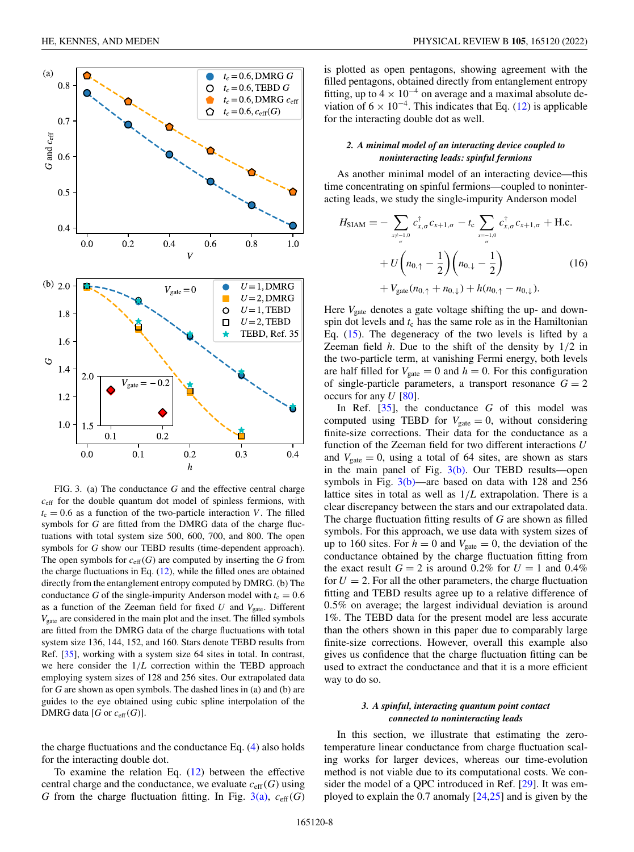<span id="page-7-0"></span>

FIG. 3. (a) The conductance *G* and the effective central charge  $c_{\text{eff}}$  for the double quantum dot model of spinless fermions, with  $t_c = 0.6$  as a function of the two-particle interaction *V*. The filled symbols for *G* are fitted from the DMRG data of the charge fluctuations with total system size 500, 600, 700, and 800. The open symbols for *G* show our TEBD results (time-dependent approach). The open symbols for  $c_{\text{eff}}(G)$  are computed by inserting the *G* from the charge fluctuations in Eq. [\(12\)](#page-4-0), while the filled ones are obtained directly from the entanglement entropy computed by DMRG. (b) The conductance *G* of the single-impurity Anderson model with  $t_c = 0.6$ as a function of the Zeeman field for fixed  $U$  and  $V_{\text{gate}}$ . Different *V*gate are considered in the main plot and the inset. The filled symbols are fitted from the DMRG data of the charge fluctuations with total system size 136, 144, 152, and 160. Stars denote TEBD results from Ref. [\[35\]](#page-15-0), working with a system size 64 sites in total. In contrast, we here consider the 1/*L* correction within the TEBD approach employing system sizes of 128 and 256 sites. Our extrapolated data for *G* are shown as open symbols. The dashed lines in (a) and (b) are guides to the eye obtained using cubic spline interpolation of the DMRG data [ $G$  or  $c_{\text{eff}}(G)$ ].

the charge fluctuations and the conductance Eq. [\(4\)](#page-3-0) also holds for the interacting double dot.

To examine the relation Eq.  $(12)$  between the effective central charge and the conductance, we evaluate  $c_{\text{eff}}(G)$  using *G* from the charge fluctuation fitting. In Fig.  $3(a)$ ,  $c_{\text{eff}}(G)$  is plotted as open pentagons, showing agreement with the filled pentagons, obtained directly from entanglement entropy fitting, up to  $4 \times 10^{-4}$  on average and a maximal absolute deviation of  $6 \times 10^{-4}$ . This indicates that Eq. [\(12\)](#page-4-0) is applicable for the interacting double dot as well.

# *2. A minimal model of an interacting device coupled to noninteracting leads: spinful fermions*

As another minimal model of an interacting device—this time concentrating on spinful fermions—coupled to noninteracting leads, we study the single-impurity Anderson model

$$
H_{\text{SIAM}} = -\sum_{x \neq -1,0 \atop \sigma} c_{x,\sigma}^{\dagger} c_{x+1,\sigma} - t_{\text{c}} \sum_{x = -1,0 \atop \sigma} c_{x,\sigma}^{\dagger} c_{x+1,\sigma} + \text{H.c.} + U \left( n_{0,\uparrow} - \frac{1}{2} \right) \left( n_{0,\downarrow} - \frac{1}{2} \right) + V_{\text{gate}}(n_{0,\uparrow} + n_{0,\downarrow}) + h(n_{0,\uparrow} - n_{0,\downarrow}).
$$
 (16)

Here *V*<sub>gate</sub> denotes a gate voltage shifting the up- and downspin dot levels and  $t_c$  has the same role as in the Hamiltonian Eq. [\(15\)](#page-6-0). The degeneracy of the two levels is lifted by a Zeeman field *h*. Due to the shift of the density by 1/2 in the two-particle term, at vanishing Fermi energy, both levels are half filled for  $V_{\text{gate}} = 0$  and  $h = 0$ . For this configuration of single-particle parameters, a transport resonance  $G = 2$ occurs for any *U* [\[80\]](#page-17-0).

In Ref. [\[35\]](#page-15-0), the conductance *G* of this model was computed using TEBD for  $V_{\text{gate}} = 0$ , without considering finite-size corrections. Their data for the conductance as a function of the Zeeman field for two different interactions *U* and  $V_{\text{gate}} = 0$ , using a total of 64 sites, are shown as stars in the main panel of Fig.  $3(b)$ . Our TEBD results—open symbols in Fig.  $3(b)$ —are based on data with 128 and 256 lattice sites in total as well as 1/*L* extrapolation. There is a clear discrepancy between the stars and our extrapolated data. The charge fluctuation fitting results of *G* are shown as filled symbols. For this approach, we use data with system sizes of up to 160 sites. For  $h = 0$  and  $V_{\text{gate}} = 0$ , the deviation of the conductance obtained by the charge fluctuation fitting from the exact result  $G = 2$  is around 0.2% for  $U = 1$  and 0.4% for  $U = 2$ . For all the other parameters, the charge fluctuation fitting and TEBD results agree up to a relative difference of 0.5% on average; the largest individual deviation is around 1%. The TEBD data for the present model are less accurate than the others shown in this paper due to comparably large finite-size corrections. However, overall this example also gives us confidence that the charge fluctuation fitting can be used to extract the conductance and that it is a more efficient way to do so.

# *3. A spinful, interacting quantum point contact connected to noninteracting leads*

In this section, we illustrate that estimating the zerotemperature linear conductance from charge fluctuation scaling works for larger devices, whereas our time-evolution method is not viable due to its computational costs. We consider the model of a QPC introduced in Ref. [\[29\]](#page-15-0). It was employed to explain the 0.7 anomaly [\[24,25\]](#page-15-0) and is given by the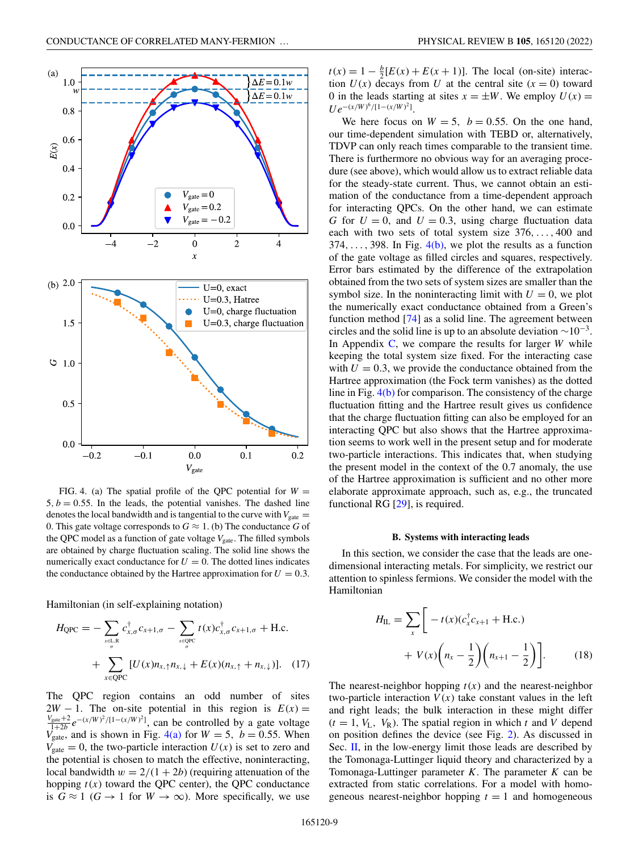<span id="page-8-0"></span>

FIG. 4. (a) The spatial profile of the QPC potential for  $W =$  $5, b = 0.55$ . In the leads, the potential vanishes. The dashed line denotes the local bandwidth and is tangential to the curve with  $V_{\text{gate}} =$ 0. This gate voltage corresponds to  $G \approx 1$ . (b) The conductance G of the QPC model as a function of gate voltage  $V_{\text{gate}}$ . The filled symbols are obtained by charge fluctuation scaling. The solid line shows the numerically exact conductance for  $U = 0$ . The dotted lines indicates the conductance obtained by the Hartree approximation for  $U = 0.3$ .

Hamiltonian (in self-explaining notation)

$$
H_{\text{QPC}} = -\sum_{x \in L, R \atop \sigma} c_{x, \sigma}^{\dagger} c_{x+1, \sigma} - \sum_{x \in \text{QPC}} t(x) c_{x, \sigma}^{\dagger} c_{x+1, \sigma} + \text{H.c.} + \sum_{x \in \text{QPC}} [U(x) n_{x, \uparrow} n_{x, \downarrow} + E(x) (n_{x, \uparrow} + n_{x, \downarrow})]. \tag{17}
$$

The QPC region contains an odd number of sites  $2W - 1$ . The on-site potential in this region is  $E(x) =$  $\frac{V_{\text{gate}} + 2}{1 + 2b} e^{-(x/W)^2 / (1 - (x/W)^2)}$ , can be controlled by a gate voltage  $V_{\text{gate}}$ , and is shown in Fig. 4(a) for  $W = 5$ ,  $b = 0.55$ . When  $V_{\text{gate}} = 0$ , the two-particle interaction  $U(x)$  is set to zero and the potential is chosen to match the effective, noninteracting, local bandwidth  $w = 2/(1 + 2b)$  (requiring attenuation of the hopping  $t(x)$  toward the QPC center), the QPC conductance is  $G \approx 1$  ( $G \rightarrow 1$  for  $W \rightarrow \infty$ ). More specifically, we use

 $t(x) = 1 - \frac{b}{2}[E(x) + E(x+1)]$ . The local (on-site) interaction  $U(x)$  decays from U at the central site  $(x = 0)$  toward 0 in the leads starting at sites  $x = \pm W$ . We employ  $U(x) =$  $U e^{-(x/W)^6/[1-(x/W)^2]}.$ 

We here focus on  $W = 5$ ,  $b = 0.55$ . On the one hand, our time-dependent simulation with TEBD or, alternatively, TDVP can only reach times comparable to the transient time. There is furthermore no obvious way for an averaging procedure (see above), which would allow us to extract reliable data for the steady-state current. Thus, we cannot obtain an estimation of the conductance from a time-dependent approach for interacting QPCs. On the other hand, we can estimate *G* for  $U = 0$ , and  $U = 0.3$ , using charge fluctuation data each with two sets of total system size 376,..., 400 and 374, ..., 398. In Fig.  $4(b)$ , we plot the results as a function of the gate voltage as filled circles and squares, respectively. Error bars estimated by the difference of the extrapolation obtained from the two sets of system sizes are smaller than the symbol size. In the noninteracting limit with  $U = 0$ , we plot the numerically exact conductance obtained from a Green's function method [\[74\]](#page-16-0) as a solid line. The agreement between circles and the solid line is up to an absolute deviation  $\sim 10^{-3}$ . In Appendix [C,](#page-14-0) we compare the results for larger *W* while keeping the total system size fixed. For the interacting case with  $U = 0.3$ , we provide the conductance obtained from the Hartree approximation (the Fock term vanishes) as the dotted line in Fig. 4(b) for comparison. The consistency of the charge fluctuation fitting and the Hartree result gives us confidence that the charge fluctuation fitting can also be employed for an interacting QPC but also shows that the Hartree approximation seems to work well in the present setup and for moderate two-particle interactions. This indicates that, when studying the present model in the context of the 0.7 anomaly, the use of the Hartree approximation is sufficient and no other more elaborate approximate approach, such as, e.g., the truncated functional RG [\[29\]](#page-15-0), is required.

## **B. Systems with interacting leads**

In this section, we consider the case that the leads are onedimensional interacting metals. For simplicity, we restrict our attention to spinless fermions. We consider the model with the Hamiltonian

$$
H_{\rm IL} = \sum_{x} \left[ -t(x) (c_{x}^{\dagger} c_{x+1} + \text{H.c.}) + V(x) \left( n_{x} - \frac{1}{2} \right) \left( n_{x+1} - \frac{1}{2} \right) \right].
$$
 (18)

The nearest-neighbor hopping  $t(x)$  and the nearest-neighbor two-particle interaction  $V(x)$  take constant values in the left and right leads; the bulk interaction in these might differ  $(t = 1, V_L, V_R)$ . The spatial region in which *t* and *V* depend on position defines the device (see Fig. [2\)](#page-1-0). As discussed in Sec. [II,](#page-2-0) in the low-energy limit those leads are described by the Tomonaga-Luttinger liquid theory and characterized by a Tomonaga-Luttinger parameter *K*. The parameter *K* can be extracted from static correlations. For a model with homogeneous nearest-neighbor hopping  $t = 1$  and homogeneous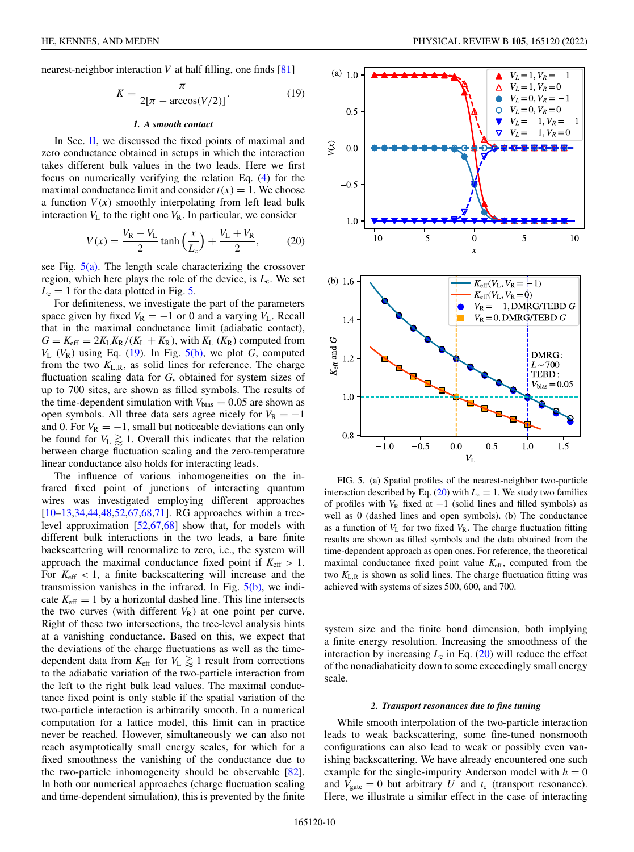<span id="page-9-0"></span>nearest-neighbor interaction *V* at half filling, one finds [\[81\]](#page-17-0)

$$
K = \frac{\pi}{2[\pi - \arccos(V/2)]}.
$$
\n(19)

## *1. A smooth contact*

In Sec. [II,](#page-2-0) we discussed the fixed points of maximal and zero conductance obtained in setups in which the interaction takes different bulk values in the two leads. Here we first focus on numerically verifying the relation Eq. [\(4\)](#page-3-0) for the maximal conductance limit and consider  $t(x) = 1$ . We choose a function  $V(x)$  smoothly interpolating from left lead bulk interaction  $V_L$  to the right one  $V_R$ . In particular, we consider

$$
V(x) = \frac{V_{\rm R} - V_{\rm L}}{2} \tanh\left(\frac{x}{L_{\rm c}}\right) + \frac{V_{\rm L} + V_{\rm R}}{2},\tag{20}
$$

see Fig. 5(a). The length scale characterizing the crossover region, which here plays the role of the device, is  $L_c$ . We set  $L_c = 1$  for the data plotted in Fig. 5.

For definiteness, we investigate the part of the parameters space given by fixed  $V_R = -1$  or 0 and a varying  $V_L$ . Recall that in the maximal conductance limit (adiabatic contact),  $G = K_{\text{eff}} = 2K_LK_R/(K_L + K_R)$ , with  $K_L(K_R)$  computed from  $V_L$  ( $V_R$ ) using Eq. (19). In Fig. 5(b), we plot *G*, computed from the two  $K_{L,R}$ , as solid lines for reference. The charge fluctuation scaling data for *G*, obtained for system sizes of up to 700 sites, are shown as filled symbols. The results of the time-dependent simulation with  $V_{bias} = 0.05$  are shown as open symbols. All three data sets agree nicely for  $V_R = -1$ and 0. For  $V_R = -1$ , small but noticeable deviations can only be found for  $V_L \gtrapprox 1$ . Overall this indicates that the relation between charge fluctuation scaling and the zero-temperature linear conductance also holds for interacting leads.

The influence of various inhomogeneities on the infrared fixed point of junctions of interacting quantum wires was investigated employing different approaches [\[10–13,34,](#page-15-0)[44,48,52,67,68,71\]](#page-16-0). RG approaches within a treelevel approximation [\[52,67,68\]](#page-16-0) show that, for models with different bulk interactions in the two leads, a bare finite backscattering will renormalize to zero, i.e., the system will approach the maximal conductance fixed point if  $K_{\text{eff}} > 1$ . For  $K_{\text{eff}} < 1$ , a finite backscattering will increase and the transmission vanishes in the infrared. In Fig. 5(b), we indicate  $K_{\text{eff}} = 1$  by a horizontal dashed line. This line intersects the two curves (with different  $V_R$ ) at one point per curve. Right of these two intersections, the tree-level analysis hints at a vanishing conductance. Based on this, we expect that the deviations of the charge fluctuations as well as the timedependent data from  $K_{\text{eff}}$  for  $V_L \gtrapprox 1$  result from corrections to the adiabatic variation of the two-particle interaction from the left to the right bulk lead values. The maximal conductance fixed point is only stable if the spatial variation of the two-particle interaction is arbitrarily smooth. In a numerical computation for a lattice model, this limit can in practice never be reached. However, simultaneously we can also not reach asymptotically small energy scales, for which for a fixed smoothness the vanishing of the conductance due to the two-particle inhomogeneity should be observable [\[82\]](#page-17-0). In both our numerical approaches (charge fluctuation scaling and time-dependent simulation), this is prevented by the finite



FIG. 5. (a) Spatial profiles of the nearest-neighbor two-particle interaction described by Eq. (20) with  $L_c = 1$ . We study two families of profiles with  $V_R$  fixed at  $-1$  (solid lines and filled symbols) as well as 0 (dashed lines and open symbols). (b) The conductance as a function of  $V_L$  for two fixed  $V_R$ . The charge fluctuation fitting results are shown as filled symbols and the data obtained from the time-dependent approach as open ones. For reference, the theoretical maximal conductance fixed point value  $K_{\text{eff}}$ , computed from the two  $K_{L,R}$  is shown as solid lines. The charge fluctuation fitting was achieved with systems of sizes 500, 600, and 700.

system size and the finite bond dimension, both implying a finite energy resolution. Increasing the smoothness of the interaction by increasing  $L_c$  in Eq. (20) will reduce the effect of the nonadiabaticity down to some exceedingly small energy scale.

#### *2. Transport resonances due to fine tuning*

While smooth interpolation of the two-particle interaction leads to weak backscattering, some fine-tuned nonsmooth configurations can also lead to weak or possibly even vanishing backscattering. We have already encountered one such example for the single-impurity Anderson model with  $h = 0$ and  $V_{\text{gate}} = 0$  but arbitrary *U* and  $t_c$  (transport resonance). Here, we illustrate a similar effect in the case of interacting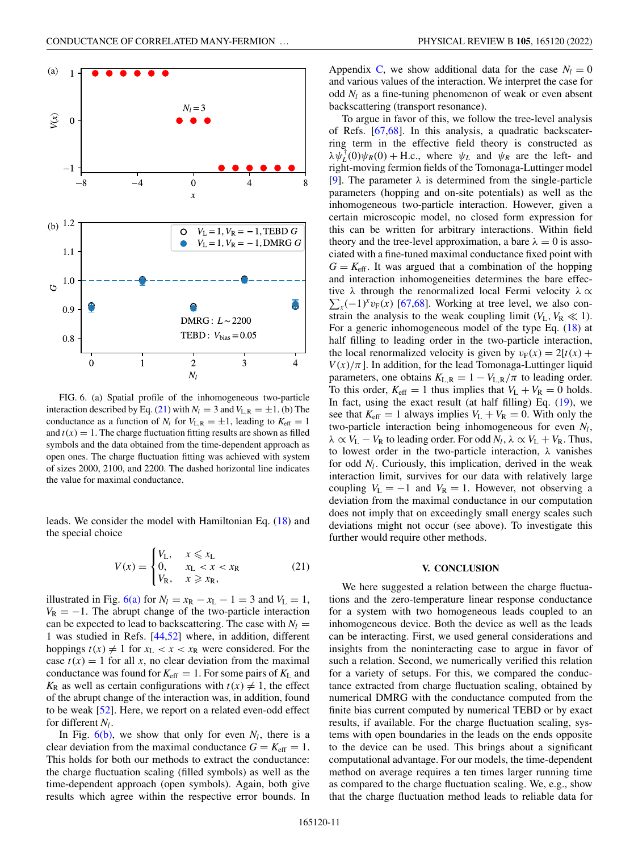<span id="page-10-0"></span>

FIG. 6. (a) Spatial profile of the inhomogeneous two-particle interaction described by Eq. (21) with  $N_l = 3$  and  $V_{L,R} = \pm 1$ . (b) The conductance as a function of  $N_l$  for  $V_{L,R} = \pm 1$ , leading to  $K_{\text{eff}} = 1$ and  $t(x) = 1$ . The charge fluctuation fitting results are shown as filled symbols and the data obtained from the time-dependent approach as open ones. The charge fluctuation fitting was achieved with system of sizes 2000, 2100, and 2200. The dashed horizontal line indicates the value for maximal conductance.

leads. We consider the model with Hamiltonian Eq. [\(18\)](#page-8-0) and the special choice

$$
V(x) = \begin{cases} V_L, & x \leq x_L \\ 0, & x_L < x < x_R \\ V_R, & x \geq x_R, \end{cases} \tag{21}
$$

illustrated in Fig. 6(a) for  $N_l = x_R - x_L - 1 = 3$  and  $V_L = 1$ ,  $V_R = -1$ . The abrupt change of the two-particle interaction can be expected to lead to backscattering. The case with  $N_l =$ 1 was studied in Refs. [\[44,52\]](#page-16-0) where, in addition, different hoppings  $t(x) \neq 1$  for  $x_L < x < x_R$  were considered. For the case  $t(x) = 1$  for all *x*, no clear deviation from the maximal conductance was found for  $K_{\text{eff}} = 1$ . For some pairs of  $K_{\text{L}}$  and  $K_R$  as well as certain configurations with  $t(x) \neq 1$ , the effect of the abrupt change of the interaction was, in addition, found to be weak [\[52\]](#page-16-0). Here, we report on a related even-odd effect for different  $N_l$ .

In Fig.  $6(b)$ , we show that only for even  $N_l$ , there is a clear deviation from the maximal conductance  $G = K<sub>eff</sub> = 1$ . This holds for both our methods to extract the conductance: the charge fluctuation scaling (filled symbols) as well as the time-dependent approach (open symbols). Again, both give results which agree within the respective error bounds. In Appendix [C,](#page-14-0) we show additional data for the case  $N_l = 0$ and various values of the interaction. We interpret the case for odd *Nl* as a fine-tuning phenomenon of weak or even absent backscattering (transport resonance).

To argue in favor of this, we follow the tree-level analysis of Refs. [\[67,68\]](#page-16-0). In this analysis, a quadratic backscaterring term in the effective field theory is constructed as  $\lambda \psi_L^{\dagger}(0) \psi_R(0) + \text{H.c., where } \psi_L$  and  $\psi_R$  are the left- and right-moving fermion fields of the Tomonaga-Luttinger model [\[9\]](#page-15-0). The parameter  $\lambda$  is determined from the single-particle parameters (hopping and on-site potentials) as well as the inhomogeneous two-particle interaction. However, given a certain microscopic model, no closed form expression for this can be written for arbitrary interactions. Within field theory and the tree-level approximation, a bare  $\lambda = 0$  is associated with a fine-tuned maximal conductance fixed point with  $G = K<sub>eff</sub>$ . It was argued that a combination of the hopping and interaction inhomogeneities determines the bare effective  $\lambda$  through the renormalized local Fermi velocity  $\lambda \propto$  $\sum_{x}$ (−1)<sup>*x*</sup>*v*<sub>F</sub>(*x*) [\[67,68\]](#page-16-0). Working at tree level, we also constrain the analysis to the weak coupling limit  $(V_L, V_R \ll 1)$ . For a generic inhomogeneous model of the type Eq. [\(18\)](#page-8-0) at half filling to leading order in the two-particle interaction, the local renormalized velocity is given by  $v_F(x) = 2[t(x) +$  $V(x)/\pi$ ]. In addition, for the lead Tomonaga-Luttinger liquid parameters, one obtains  $K_{L,R} = 1 - V_{L,R}/\pi$  to leading order. To this order,  $K_{\text{eff}} = 1$  thus implies that  $V_L + V_R = 0$  holds. In fact, using the exact result (at half filling) Eq.  $(19)$ , we see that  $K_{\text{eff}} = 1$  always implies  $V_L + V_R = 0$ . With only the two-particle interaction being inhomogeneous for even  $N_l$ ,  $\lambda \propto V_L - V_R$  to leading order. For odd  $N_l$ ,  $\lambda \propto V_L + V_R$ . Thus, to lowest order in the two-particle interaction, λ vanishes for odd  $N_l$ . Curiously, this implication, derived in the weak interaction limit, survives for our data with relatively large coupling  $V_L = -1$  and  $V_R = 1$ . However, not observing a deviation from the maximal conductance in our computation does not imply that on exceedingly small energy scales such deviations might not occur (see above). To investigate this further would require other methods.

### **V. CONCLUSION**

We here suggested a relation between the charge fluctuations and the zero-temperature linear response conductance for a system with two homogeneous leads coupled to an inhomogeneous device. Both the device as well as the leads can be interacting. First, we used general considerations and insights from the noninteracting case to argue in favor of such a relation. Second, we numerically verified this relation for a variety of setups. For this, we compared the conductance extracted from charge fluctuation scaling, obtained by numerical DMRG with the conductance computed from the finite bias current computed by numerical TEBD or by exact results, if available. For the charge fluctuation scaling, systems with open boundaries in the leads on the ends opposite to the device can be used. This brings about a significant computational advantage. For our models, the time-dependent method on average requires a ten times larger running time as compared to the charge fluctuation scaling. We, e.g., show that the charge fluctuation method leads to reliable data for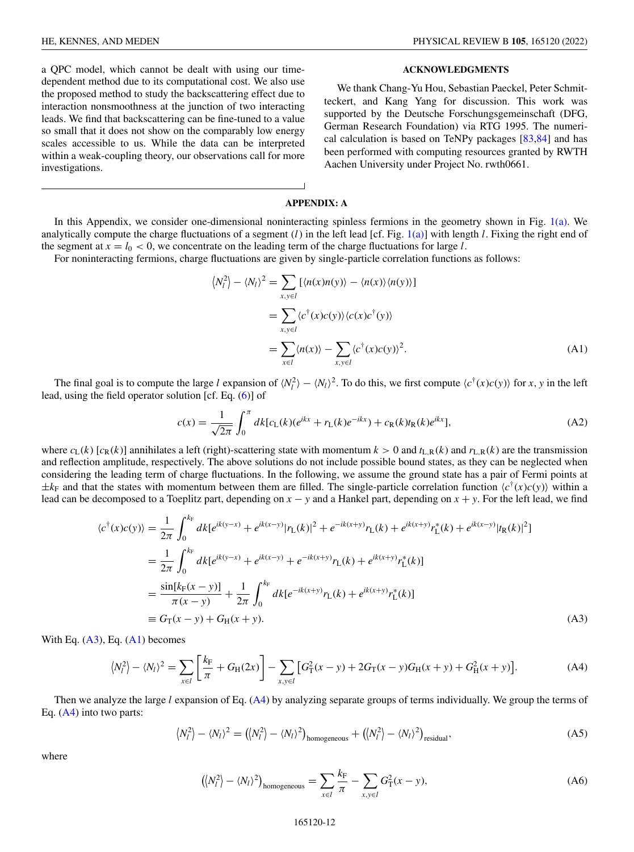<span id="page-11-0"></span>HE, KENNES, AND MEDEN PHYSICAL REVIEW B **105**, 165120 (2022)

a QPC model, which cannot be dealt with using our timedependent method due to its computational cost. We also use the proposed method to study the backscattering effect due to interaction nonsmoothness at the junction of two interacting leads. We find that backscattering can be fine-tuned to a value so small that it does not show on the comparably low energy scales accessible to us. While the data can be interpreted within a weak-coupling theory, our observations call for more investigations.

## **ACKNOWLEDGMENTS**

We thank Chang-Yu Hou, Sebastian Paeckel, Peter Schmitteckert, and Kang Yang for discussion. This work was supported by the Deutsche Forschungsgemeinschaft (DFG, German Research Foundation) via RTG 1995. The numerical calculation is based on TeNPy packages [\[83,84\]](#page-17-0) and has been performed with computing resources granted by RWTH Aachen University under Project No. rwth0661.

# **APPENDIX: A**

In this Appendix, we consider one-dimensional noninteracting spinless fermions in the geometry shown in Fig. [1\(a\).](#page-1-0) We analytically compute the charge fluctuations of a segment  $(l)$  in the left lead [cf. Fig. [1\(a\)\]](#page-1-0) with length *l*. Fixing the right end of the segment at  $x = l_0 < 0$ , we concentrate on the leading term of the charge fluctuations for large *l*.

For noninteracting fermions, charge fluctuations are given by single-particle correlation functions as follows:

$$
\langle N_l^2 \rangle - \langle N_l \rangle^2 = \sum_{x,y \in l} \left[ \langle n(x)n(y) \rangle - \langle n(x) \rangle \langle n(y) \rangle \right]
$$
  
= 
$$
\sum_{x,y \in l} \langle c^\dagger(x)c(y) \rangle \langle c(x)c^\dagger(y) \rangle
$$
  
= 
$$
\sum_{x \in l} \langle n(x) \rangle - \sum_{x,y \in l} \langle c^\dagger(x)c(y) \rangle^2.
$$
 (A1)

The final goal is to compute the large *l* expansion of  $\langle N_l^2 \rangle - \langle N_l \rangle^2$ . To do this, we first compute  $\langle c^{\dagger}(x)c(y) \rangle$  for *x*, *y* in the left lead, using the field operator solution [cf. Eq. [\(6\)](#page-3-0)] of

$$
c(x) = \frac{1}{\sqrt{2\pi}} \int_0^{\pi} dk [c_L(k)(e^{ikx} + r_L(k)e^{-ikx}) + c_R(k)t_R(k)e^{ikx}],
$$
\n(A2)

where  $c_L(k)$  [ $c_R(k)$ ] annihilates a left (right)-scattering state with momentum  $k > 0$  and  $t_{L,R}(k)$  and  $r_{L,R}(k)$  are the transmission and reflection amplitude, respectively. The above solutions do not include possible bound states, as they can be neglected when considering the leading term of charge fluctuations. In the following, we assume the ground state has a pair of Fermi points at  $\pm k_F$  and that the states with momentum between them are filled. The single-particle correlation function  $\langle c^{\dagger}(x)c(y) \rangle$  within a lead can be decomposed to a Toeplitz part, depending on *x* − *y* and a Hankel part, depending on *x* + *y*. For the left lead, we find

$$
\langle c^{\dagger}(x)c(y)\rangle = \frac{1}{2\pi} \int_0^{k_{\rm F}} dk [e^{ik(y-x)} + e^{ik(x-y)} |r_{\rm L}(k)|^2 + e^{-ik(x+y)} r_{\rm L}(k) + e^{ik(x+y)} r_{\rm L}^*(k) + e^{ik(x-y)} |r_{\rm R}(k)|^2]
$$
  
\n
$$
= \frac{1}{2\pi} \int_0^{k_{\rm F}} dk [e^{ik(y-x)} + e^{ik(x-y)} + e^{-ik(x+y)} r_{\rm L}(k) + e^{ik(x+y)} r_{\rm L}^*(k)]
$$
  
\n
$$
= \frac{\sin[k_{\rm F}(x-y)]}{\pi(x-y)} + \frac{1}{2\pi} \int_0^{k_{\rm F}} dk [e^{-ik(x+y)} r_{\rm L}(k) + e^{ik(x+y)} r_{\rm L}^*(k)]
$$
  
\n
$$
\equiv G_{\rm T}(x-y) + G_{\rm H}(x+y).
$$
\n(A3)

With Eq.  $(A3)$ , Eq.  $(A1)$  becomes

$$
\langle N_l^2 \rangle - \langle N_l \rangle^2 = \sum_{x \in l} \left[ \frac{k_{\rm F}}{\pi} + G_{\rm H}(2x) \right] - \sum_{x, y \in l} \left[ G_{\rm T}^2(x - y) + 2G_{\rm T}(x - y)G_{\rm H}(x + y) + G_{\rm H}^2(x + y) \right]. \tag{A4}
$$

Then we analyze the large *l* expansion of Eq. (A4) by analyzing separate groups of terms individually. We group the terms of Eq.  $(A4)$  into two parts:

$$
\langle N_l^2 \rangle - \langle N_l \rangle^2 = (\langle N_l^2 \rangle - \langle N_l \rangle^2)_{\text{homogeneous}} + (\langle N_l^2 \rangle - \langle N_l \rangle^2)_{\text{residual}},
$$
 (A5)

where

$$
(\langle N_l^2 \rangle - \langle N_l \rangle^2)_{\text{homogeneous}} = \sum_{x \in l} \frac{k_{\text{F}}}{\pi} - \sum_{x, y \in l} G_{\text{T}}^2(x - y), \tag{A6}
$$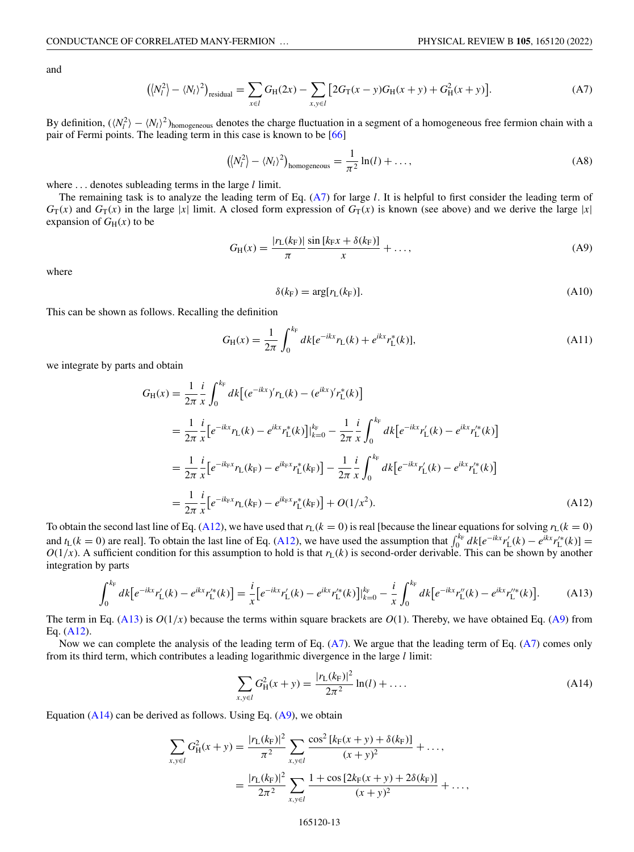<span id="page-12-0"></span>and

$$
(\langle N_l^2 \rangle - \langle N_l \rangle^2)_{\text{residual}} = \sum_{x \in l} G_H(2x) - \sum_{x, y \in l} \left[ 2G_T(x - y)G_H(x + y) + G_H^2(x + y) \right].
$$
 (A7)

By definition,  $(\langle N_l^2 \rangle - \langle N_l \rangle^2)$ <sub>homogeneous</sub> denotes the charge fluctuation in a segment of a homogeneous free fermion chain with a pair of Fermi points. The leading term in this case is known to be [\[66\]](#page-16-0)

$$
(\langle N_l^2 \rangle - \langle N_l \rangle^2)_{\text{homogeneous}} = \frac{1}{\pi^2} \ln(l) + \dots,
$$
 (A8)

where ... denotes subleading terms in the large *l* limit.

The remaining task is to analyze the leading term of Eq. (A7) for large *l*. It is helpful to first consider the leading term of  $G_T(x)$  and  $G_T(x)$  in the large |*x*| limit. A closed form expression of  $G_T(x)$  is known (see above) and we derive the large |*x*| expansion of  $G_H(x)$  to be

$$
G_{\rm H}(x) = \frac{|r_{\rm L}(k_{\rm F})|}{\pi} \frac{\sin\left[k_{\rm F}x + \delta(k_{\rm F})\right]}{x} + \dots,
$$
\n(A9)

where

$$
\delta(k_{\rm F}) = \arg[r_{\rm L}(k_{\rm F})].\tag{A10}
$$

This can be shown as follows. Recalling the definition

$$
G_{\rm H}(x) = \frac{1}{2\pi} \int_0^{k_{\rm F}} dk [e^{-ikx} r_{\rm L}(k) + e^{ikx} r_{\rm L}^*(k)], \tag{A11}
$$

we integrate by parts and obtain

$$
G_{\rm H}(x) = \frac{1}{2\pi} \frac{i}{x} \int_0^{k_{\rm F}} dk \left[ (e^{-ikx})' r_{\rm L}(k) - (e^{ikx})' r_{\rm L}^*(k) \right]
$$
  
\n
$$
= \frac{1}{2\pi} \frac{i}{x} \left[ e^{-ikx} r_{\rm L}(k) - e^{ikx} r_{\rm L}^*(k) \right] \Big|_{k=0}^{k_{\rm F}} - \frac{1}{2\pi} \frac{i}{x} \int_0^{k_{\rm F}} dk \left[ e^{-ikx} r_{\rm L}'(k) - e^{ikx} r_{\rm L}^*(k) \right]
$$
  
\n
$$
= \frac{1}{2\pi} \frac{i}{x} \left[ e^{-ik_{\rm F}x} r_{\rm L}(k_{\rm F}) - e^{ik_{\rm F}x} r_{\rm L}^*(k_{\rm F}) \right] - \frac{1}{2\pi} \frac{i}{x} \int_0^{k_{\rm F}} dk \left[ e^{-ikx} r_{\rm L}'(k) - e^{ikx} r_{\rm L}^*(k) \right]
$$
  
\n
$$
= \frac{1}{2\pi} \frac{i}{x} \left[ e^{-ik_{\rm F}x} r_{\rm L}(k_{\rm F}) - e^{ik_{\rm F}x} r_{\rm L}^*(k_{\rm F}) \right] + O(1/x^2).
$$
  
\n(A12)

To obtain the second last line of Eq. (A12), we have used that  $r_L(k = 0)$  is real [because the linear equations for solving  $r_L(k = 0)$ and  $t_L(k = 0)$  are real]. To obtain the last line of Eq. (A12), we have used the assumption that  $\int_0^{k_F} dk [e^{-ikx}r'_L(k) - e^{ikx}r''_L(k)] =$  $O(1/x)$ . A sufficient condition for this assumption to hold is that  $r<sub>L</sub>(k)$  is second-order derivable. This can be shown by another integration by parts

$$
\int_0^{k_{\rm F}} dk \left[ e^{-ikx} r'_{\rm L}(k) - e^{ikx} r'^*_{\rm L}(k) \right] = \frac{i}{x} \left[ e^{-ikx} r'_{\rm L}(k) - e^{ikx} r'^*_{\rm L}(k) \right] \Big|_{k=0}^{k_{\rm F}} - \frac{i}{x} \int_0^{k_{\rm F}} dk \left[ e^{-ikx} r''_{\rm L}(k) - e^{ikx} r''_{\rm L}(k) \right]. \tag{A13}
$$

The term in Eq. (A13) is  $O(1/x)$  because the terms within square brackets are  $O(1)$ . Thereby, we have obtained Eq. (A9) from Eq. (A12).

Now we can complete the analysis of the leading term of Eq. (A7). We argue that the leading term of Eq. (A7) comes only from its third term, which contributes a leading logarithmic divergence in the large *l* limit:

$$
\sum_{x,y \in l} G_H^2(x+y) = \frac{|r_L(k_F)|^2}{2\pi^2} \ln(l) + \dots
$$
 (A14)

Equation  $(A14)$  can be derived as follows. Using Eq.  $(A9)$ , we obtain

$$
\sum_{x,y \in l} G_H^2(x+y) = \frac{|r_L(k_F)|^2}{\pi^2} \sum_{x,y \in l} \frac{\cos^2 \left[k_F(x+y) + \delta(k_F)\right]}{(x+y)^2} + \dots,
$$

$$
= \frac{|r_L(k_F)|^2}{2\pi^2} \sum_{x,y \in l} \frac{1 + \cos \left[2k_F(x+y) + 2\delta(k_F)\right]}{(x+y)^2} + \dots,
$$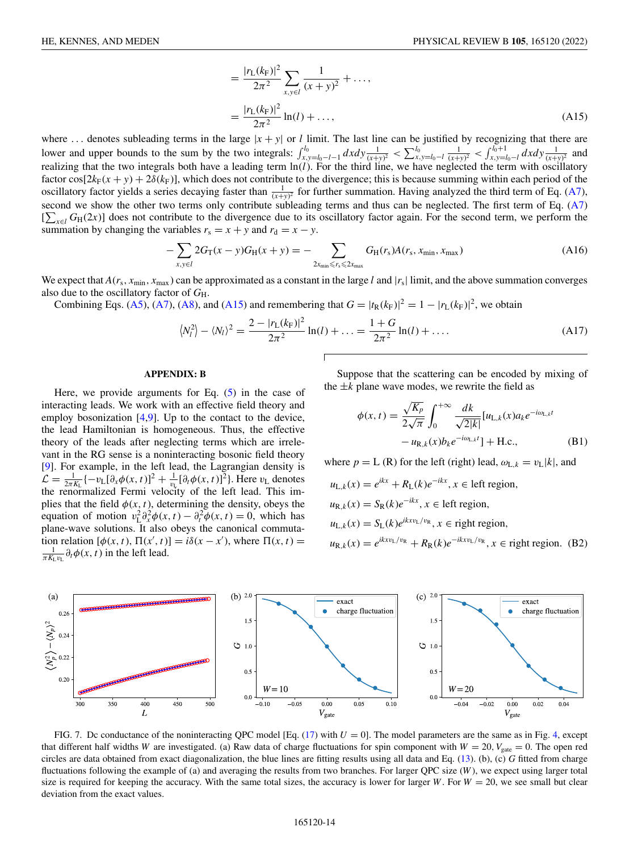$$
= \frac{|r_{\rm L}(k_{\rm F})|^2}{2\pi^2} \sum_{x,y \in l} \frac{1}{(x+y)^2} + \dots,
$$
  

$$
= \frac{|r_{\rm L}(k_{\rm F})|^2}{2\pi^2} \ln(l) + \dots,
$$
 (A15)

<span id="page-13-0"></span>where ... denotes subleading terms in the large  $|x + y|$  or *l* limit. The last line can be justified by recognizing that there are lower and upper bounds to the sum by the two integrals:  $\int_{x,y=l_0-l-1}^{l_0} dx dy \frac{1}{(x+y)^2} < \sum_{x,y=l_0-l}^{l_0} \frac{1}{(x+y)^2} < \int_{x,y=l_0-l}^{l_0+1} dx dy \frac{1}{(x+y)^2}$  and realizing that the two integrals both have a leading term ln(*l*). For the third line, we have neglected the term with oscillatory factor cos[ $2k_F(x + y) + 2\delta(k_F)$ ], which does not contribute to the divergence; this is because summing within each period of the oscillatory factor yields a series decaying faster than  $\frac{1}{(x+y)^2}$  for further summation. Having analyzed the third term of Eq. [\(A7\)](#page-12-0), second we show the other two terms only contribute subleading terms and thus can be neglected. The first term of Eq. [\(A7\)](#page-12-0)  $[\sum_{x \in l} G_H(2x)]$  does not contribute to the divergence due to its oscillatory factor again. For the second term, we perform the summation by changing the variables  $r_s = x + y$  and  $r_d = x - y$ .

$$
-\sum_{x,y \in l} 2G_{\text{T}}(x-y)G_{\text{H}}(x+y) = -\sum_{2x_{\text{min}} \le r_{\text{s}} \le 2x_{\text{max}}} G_{\text{H}}(r_{\text{s}})A(r_{\text{s}}, x_{\text{min}}, x_{\text{max}}) \tag{A16}
$$

We expect that  $A(r_s, x_{min}, x_{max})$  can be approximated as a constant in the large *l* and  $|r_s|$  limit, and the above summation converges also due to the oscillatory factor of *G*H.

Combining Eqs. [\(A5\)](#page-11-0), [\(A7\)](#page-12-0), [\(A8\)](#page-12-0), and (A15) and remembering that  $G = |t_R(k_F)|^2 = 1 - |r_L(k_F)|^2$ , we obtain

$$
\langle N_l^2 \rangle - \langle N_l \rangle^2 = \frac{2 - |r_L(k_F)|^2}{2\pi^2} \ln(l) + \dots = \frac{1 + G}{2\pi^2} \ln(l) + \dots
$$
 (A17)

#### **APPENDIX: B**

Here, we provide arguments for Eq.  $(5)$  in the case of interacting leads. We work with an effective field theory and employ bosonization [\[4,9\]](#page-15-0). Up to the contact to the device, the lead Hamiltonian is homogeneous. Thus, the effective theory of the leads after neglecting terms which are irrelevant in the RG sense is a noninteracting bosonic field theory [\[9\]](#page-15-0). For example, in the left lead, the Lagrangian density is  $\mathcal{L} = \frac{1}{2\pi K_L} \{-v_L[\partial_x \phi(x, t)]^2 + \frac{1}{v_L}[\partial_t \phi(x, t)]^2\}$ . Here  $v_L$  denotes the renormalized Fermi velocity of the left lead. This implies that the field  $\phi(x, t)$ , determining the density, obeys the equation of motion  $v_L^2 \partial_x^2 \phi(x, t) - \partial_t^2 \phi(x, t) = 0$ , which has plane-wave solutions. It also obeys the canonical commutation relation  $[\phi(x, t), \Pi(x', t)] = i\delta(x - x')$ , where  $\Pi(x, t) = \frac{1}{\sqrt{2\pi}} \phi(x, t)$  in the left lead  $\frac{1}{\pi K_l v_l} \partial_t \phi(x, t)$  in the left lead.

Suppose that the scattering can be encoded by mixing of the  $\pm k$  plane wave modes, we rewrite the field as

$$
\phi(x,t) = \frac{\sqrt{K_p}}{2\sqrt{\pi}} \int_0^{+\infty} \frac{dk}{\sqrt{2|k|}} [u_{L,k}(x)a_k e^{-i\omega_{L,k}t} - u_{R,k}(x)b_k e^{-i\omega_{L,k}t}] + \text{H.c.},
$$
\n(B1)

where  $p = L(R)$  for the left (right) lead,  $\omega_{L,k} = v_L|k|$ , and

$$
u_{L,k}(x) = e^{ikx} + R_L(k)e^{-ikx}, x \in \text{left region},
$$
  
\n
$$
u_{R,k}(x) = S_R(k)e^{-ikx}, x \in \text{left region},
$$
  
\n
$$
u_{L,k}(x) = S_L(k)e^{ikxv_L/v_R}, x \in \text{right region},
$$
  
\n
$$
u_{R,k}(x) = e^{ikxv_L/v_R} + R_R(k)e^{-ikxv_L/v_R}, x \in \text{right region. (B2)}
$$



FIG. 7. De conductance of the noninteracting QPC model [Eq.  $(17)$  with  $U = 0$ ]. The model parameters are the same as in Fig. [4,](#page-8-0) except that different half widths *W* are investigated. (a) Raw data of charge fluctuations for spin component with  $W = 20$ ,  $V_{\text{gate}} = 0$ . The open red circles are data obtained from exact diagonalization, the blue lines are fitting results using all data and Eq. [\(13\)](#page-5-0). (b), (c) *G* fitted from charge fluctuations following the example of (a) and averaging the results from two branches. For larger QPC size (*W* ), we expect using larger total size is required for keeping the accuracy. With the same total sizes, the accuracy is lower for larger *W*. For  $W = 20$ , we see small but clear deviation from the exact values.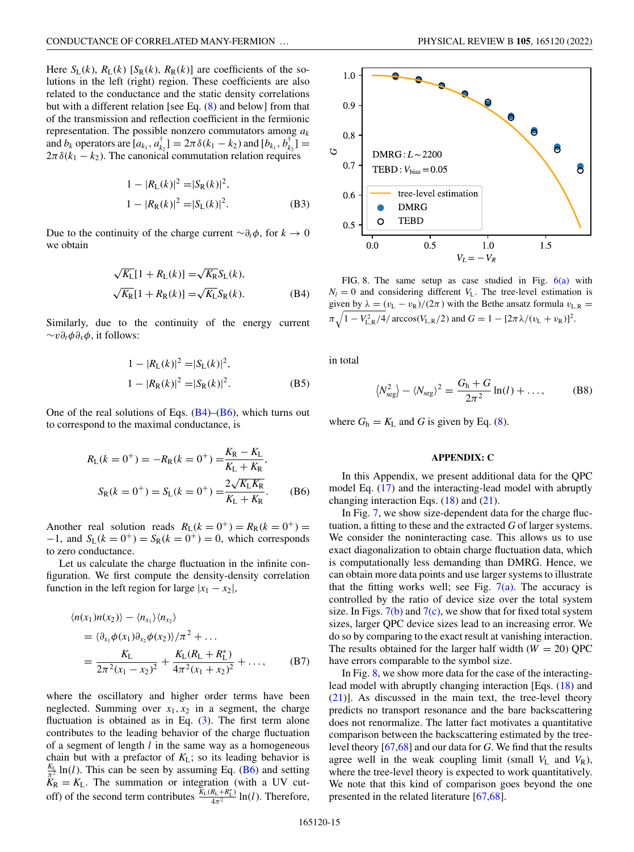<span id="page-14-0"></span>Here  $S_L(k)$ ,  $R_L(k)$  [ $S_R(k)$ ,  $R_R(k)$ ] are coefficients of the solutions in the left (right) region. These coefficients are also related to the conductance and the static density correlations but with a different relation [see Eq. [\(8\)](#page-4-0) and below] from that of the transmission and reflection coefficient in the fermionic representation. The possible nonzero commutators among *ak* and  $b_k$  operators are  $[a_{k_1}, a_{k_2}^{\dagger}] = 2\pi \delta(k_1 - k_2)$  and  $[b_{k_1}, b_{k_2}^{\dagger}] =$  $2\pi\delta(k_1 - k_2)$ . The canonical commutation relation requires

$$
1 - |R_{\rm L}(k)|^2 = |S_{\rm R}(k)|^2,
$$
  
\n
$$
1 - |R_{\rm R}(k)|^2 = |S_{\rm L}(k)|^2.
$$
 (B3)

Due to the continuity of the charge current  $\sim \partial_t \phi$ , for *k* → 0 we obtain

$$
\sqrt{K_{\rm L}}[1 + R_{\rm L}(k)] = \sqrt{K_{\rm R}}S_{\rm L}(k),
$$
  

$$
\sqrt{K_{\rm R}}[1 + R_{\rm R}(k)] = \sqrt{K_{\rm L}}S_{\rm R}(k).
$$
 (B4)

Similarly, due to the continuity of the energy current ∼*v*∂*t*φ∂*x*φ, it follows:

$$
1 - |R_{\rm L}(k)|^2 = |S_{\rm L}(k)|^2,
$$
  
\n
$$
1 - |R_{\rm R}(k)|^2 = |S_{\rm R}(k)|^2.
$$
 (B5)

One of the real solutions of Eqs.  $(B4)$ – $(B6)$ , which turns out to correspond to the maximal conductance, is

$$
R_{L}(k = 0^{+}) = -R_{R}(k = 0^{+}) = \frac{K_{R} - K_{L}}{K_{L} + K_{R}},
$$
  

$$
S_{R}(k = 0^{+}) = S_{L}(k = 0^{+}) = \frac{2\sqrt{K_{L}K_{R}}}{K_{L} + K_{R}}.
$$
 (B6)

Another real solution reads  $R_L(k = 0^+) = R_R(k = 0^+) =$  $-1$ , and  $S_L(k = 0^+) = S_R(k = 0^+) = 0$ , which corresponds to zero conductance.

Let us calculate the charge fluctuation in the infinite configuration. We first compute the density-density correlation function in the left region for large  $|x_1 - x_2|$ ,

$$
\langle n(x_1)n(x_2)\rangle - \langle n_{x_1}\rangle \langle n_{x_2}\rangle
$$
  
=\langle \partial\_{x\_1}\phi(x\_1)\partial\_{x\_2}\phi(x\_2)\rangle/\pi^2 + ...  
=\frac{K\_L}{2\pi^2(x\_1 - x\_2)^2} + \frac{K\_L(R\_L + R\_L^\*)}{4\pi^2(x\_1 + x\_2)^2} + ..., \qquad (B7)

where the oscillatory and higher order terms have been neglected. Summing over  $x_1, x_2$  in a segment, the charge fluctuation is obtained as in Eq.  $(3)$ . The first term alone contributes to the leading behavior of the charge fluctuation of a segment of length *l* in the same way as a homogeneous chain but with a prefactor of *K*L; so its leading behavior is  $\frac{K_L}{\pi^2}$  ln(*l*). This can be seen by assuming Eq. (B6) and setting  $K_R = K_L$ . The summation or integration (with a UV cutoff) of the second term contributes  $\frac{\tilde{K}_{L}(R_{L}+R_{L}^{*})}{4\pi^{2}}$  ln(*l*). Therefore,



FIG. 8. The same setup as case studied in Fig. [6\(a\)](#page-10-0) with  $N_l = 0$  and considering different  $V_L$ . The tree-level estimation is given by  $\lambda = (v_L - v_R)/(2\pi)$  with the Bethe ansatz formula  $v_{L,R}$  $\pi \sqrt{1 - V_{\text{L,R}}^2/4} / \arccos(V_{\text{L,R}}/2)$  and  $G = 1 - [2\pi \lambda / (v_{\text{L}} + v_{\text{R}})]^2$ .

in total

$$
\langle N_{\text{seg}}^2 \rangle - \langle N_{\text{seg}} \rangle^2 = \frac{G_{\text{h}} + G}{2\pi^2} \ln(l) + \dots,\tag{B8}
$$

where  $G_h = K_L$  and *G* is given by Eq. [\(8\)](#page-4-0).

# **APPENDIX: C**

In this Appendix, we present additional data for the QPC model Eq. [\(17\)](#page-8-0) and the interacting-lead model with abruptly changing interaction Eqs.  $(18)$  and  $(21)$ .

In Fig. [7,](#page-13-0) we show size-dependent data for the charge fluctuation, a fitting to these and the extracted *G* of larger systems. We consider the noninteracting case. This allows us to use exact diagonalization to obtain charge fluctuation data, which is computationally less demanding than DMRG. Hence, we can obtain more data points and use larger systems to illustrate that the fitting works well; see Fig.  $7(a)$ . The accuracy is controlled by the ratio of device size over the total system size. In Figs.  $7(b)$  and  $7(c)$ , we show that for fixed total system sizes, larger QPC device sizes lead to an increasing error. We do so by comparing to the exact result at vanishing interaction. The results obtained for the larger half width  $(W = 20)$  QPC have errors comparable to the symbol size.

In Fig.  $8$ , we show more data for the case of the interacting-lead model with abruptly changing interaction [Eqs. [\(18\)](#page-8-0) and [\(21\)](#page-10-0)]. As discussed in the main text, the tree-level theory predicts no transport resonance and the bare backscattering does not renormalize. The latter fact motivates a quantitative comparison between the backscattering estimated by the treelevel theory [\[67,68\]](#page-16-0) and our data for *G*. We find that the results agree well in the weak coupling limit (small  $V<sub>L</sub>$  and  $V<sub>R</sub>$ ), where the tree-level theory is expected to work quantitatively. We note that this kind of comparison goes beyond the one presented in the related literature [\[67,68\]](#page-16-0).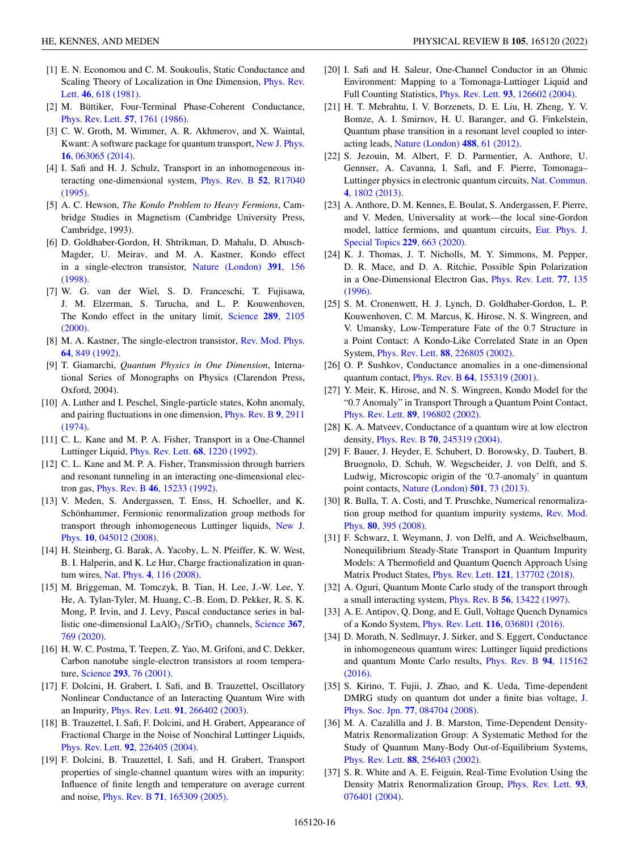- <span id="page-15-0"></span>[1] E. N. Economou and C. M. Soukoulis, Static Conductance and [Scaling Theory of Localization in One Dimension,](https://doi.org/10.1103/PhysRevLett.46.618) Phys. Rev. Lett. **46**, 618 (1981).
- [2] M. Büttiker, Four-Terminal Phase-Coherent Conductance, [Phys. Rev. Lett.](https://doi.org/10.1103/PhysRevLett.57.1761) **57**, 1761 (1986).
- [3] C. W. Groth, M. Wimmer, A. R. Akhmerov, and X. Waintal, [Kwant: A software package for quantum transport,](https://doi.org/10.1088/1367-2630/16/6/063065) New J. Phys. **16**, 063065 (2014).
- [4] I. Safi and H. J. Schulz, Transport in an inhomogeneous in[teracting one-dimensional system,](https://doi.org/10.1103/PhysRevB.52.R17040) Phys. Rev. B **52**, R17040 (1995).
- [5] A. C. Hewson, *The Kondo Problem to Heavy Fermions*, Cambridge Studies in Magnetism (Cambridge University Press, Cambridge, 1993).
- [6] D. Goldhaber-Gordon, H. Shtrikman, D. Mahalu, D. Abusch-Magder, U. Meirav, and M. A. Kastner, Kondo effect [in a single-electron transistor,](https://doi.org/10.1038/34373) Nature (London) **391**, 156 (1998).
- [7] W. G. van der Wiel, S. D. Franceschi, T. Fujisawa, J. M. Elzerman, S. Tarucha, and L. P. Kouwenhoven, [The Kondo effect in the unitary limit,](https://doi.org/10.1126/science.289.5487.2105) Science **289**, 2105 (2000).
- [8] [M. A. Kastner, The single-electron transistor,](https://doi.org/10.1103/RevModPhys.64.849) Rev. Mod. Phys. **64**, 849 (1992).
- [9] T. Giamarchi, *Quantum Physics in One Dimension*, International Series of Monographs on Physics (Clarendon Press, Oxford, 2004).
- [10] A. Luther and I. Peschel, Single-particle states, Kohn anomaly, [and pairing fluctuations in one dimension,](https://doi.org/10.1103/PhysRevB.9.2911) Phys. Rev. B **9**, 2911 (1974).
- [11] C. L. Kane and M. P. A. Fisher, Transport in a One-Channel Luttinger Liquid, [Phys. Rev. Lett.](https://doi.org/10.1103/PhysRevLett.68.1220) **68**, 1220 (1992).
- [12] C. L. Kane and M. P. A. Fisher, Transmission through barriers and resonant tunneling in an interacting one-dimensional electron gas, Phys. Rev. B **46**[, 15233 \(1992\).](https://doi.org/10.1103/PhysRevB.46.15233)
- [13] V. Meden, S. Andergassen, T. Enss, H. Schoeller, and K. Schönhammer, Fermionic renormalization group methods for [transport through inhomogeneous Luttinger liquids,](https://doi.org/10.1088/1367-2630/10/4/045012) New J. Phys. **10**, 045012 (2008).
- [14] H. Steinberg, G. Barak, A. Yacoby, L. N. Pfeiffer, K. W. West, B. I. Halperin, and K. Le Hur, Charge fractionalization in quantum wires, Nat. Phys. **4**[, 116 \(2008\).](https://doi.org/10.1038/nphys810)
- [15] M. Briggeman, M. Tomczyk, B. Tian, H. Lee, J.-W. Lee, Y. He, A. Tylan-Tyler, M. Huang, C.-B. Eom, D. Pekker, R. S. K. Mong, P. Irvin, and J. Levy, Pascal conductance series in ballistic one-dimensional LaAlO<sub>3</sub>/SrTiO<sub>3</sub> channels, Science 367, 769 (2020).
- [16] H. W. C. Postma, T. Teepen, Z. Yao, M. Grifoni, and C. Dekker, Carbon nanotube single-electron transistors at room temperature, Science **293**[, 76 \(2001\).](https://doi.org/10.1126/science.1061797)
- [17] F. Dolcini, H. Grabert, I. Safi, and B. Trauzettel, Oscillatory Nonlinear Conductance of an Interacting Quantum Wire with an Impurity, Phys. Rev. Lett. **91**[, 266402 \(2003\).](https://doi.org/10.1103/PhysRevLett.91.266402)
- [18] B. Trauzettel, I. Safi, F. Dolcini, and H. Grabert, Appearance of Fractional Charge in the Noise of Nonchiral Luttinger Liquids, Phys. Rev. Lett. **92**[, 226405 \(2004\).](https://doi.org/10.1103/PhysRevLett.92.226405)
- [19] F. Dolcini, B. Trauzettel, I. Safi, and H. Grabert, Transport properties of single-channel quantum wires with an impurity: Influence of finite length and temperature on average current and noise, Phys. Rev. B **71**[, 165309 \(2005\).](https://doi.org/10.1103/PhysRevB.71.165309)
- [20] I. Safi and H. Saleur, One-Channel Conductor in an Ohmic Environment: Mapping to a Tomonaga-Luttinger Liquid and Full Counting Statistics, Phys. Rev. Lett. **93**[, 126602 \(2004\).](https://doi.org/10.1103/PhysRevLett.93.126602)
- [21] H. T. Mebrahtu, I. V. Borzenets, D. E. Liu, H. Zheng, Y. V. Bomze, A. I. Smirnov, H. U. Baranger, and G. Finkelstein, Quantum phase transition in a resonant level coupled to interacting leads, [Nature \(London\)](https://doi.org/10.1038/nature11265) **488**, 61 (2012).
- [22] S. Jezouin, M. Albert, F. D. Parmentier, A. Anthore, U. Gennser, A. Cavanna, I. Safi, and F. Pierre, Tomonaga– [Luttinger physics in electronic quantum circuits,](https://doi.org/10.1038/ncomms2810) Nat. Commun. **4**, 1802 (2013).
- [23] A. Anthore, D. M. Kennes, E. Boulat, S. Andergassen, F. Pierre, and V. Meden, Universality at work—the local sine-Gordon [model, lattice fermions, and quantum circuits,](https://doi.org/10.1140/epjst/e2019-900117-5) Eur. Phys. J. Special Topics **229**, 663 (2020).
- [24] K. J. Thomas, J. T. Nicholls, M. Y. Simmons, M. Pepper, D. R. Mace, and D. A. Ritchie, Possible Spin Polarization [in a One-Dimensional Electron Gas,](https://doi.org/10.1103/PhysRevLett.77.135) Phys. Rev. Lett. **77**, 135 (1996).
- [25] S. M. Cronenwett, H. J. Lynch, D. Goldhaber-Gordon, L. P. Kouwenhoven, C. M. Marcus, K. Hirose, N. S. Wingreen, and V. Umansky, Low-Temperature Fate of the 0.7 Structure in a Point Contact: A Kondo-Like Correlated State in an Open System, Phys. Rev. Lett. **88**[, 226805 \(2002\).](https://doi.org/10.1103/PhysRevLett.88.226805)
- [26] O. P. Sushkov, Conductance anomalies in a one-dimensional quantum contact, Phys. Rev. B **64**[, 155319 \(2001\).](https://doi.org/10.1103/PhysRevB.64.155319)
- [27] Y. Meir, K. Hirose, and N. S. Wingreen, Kondo Model for the "0.7 Anomaly" in Transport Through a Quantum Point Contact, Phys. Rev. Lett. **89**[, 196802 \(2002\).](https://doi.org/10.1103/PhysRevLett.89.196802)
- [28] K. A. Matveev, Conductance of a quantum wire at low electron density, Phys. Rev. B **70**[, 245319 \(2004\).](https://doi.org/10.1103/PhysRevB.70.245319)
- [29] F. Bauer, J. Heyder, E. Schubert, D. Borowsky, D. Taubert, B. Bruognolo, D. Schuh, W. Wegscheider, J. von Delft, and S. Ludwig, Microscopic origin of the '0.7-anomaly' in quantum point contacts, [Nature \(London\)](https://doi.org/10.1038/nature12421) **501**, 73 (2013).
- [30] R. Bulla, T. A. Costi, and T. Pruschke, Numerical renormaliza[tion group method for quantum impurity systems,](https://doi.org/10.1103/RevModPhys.80.395) Rev. Mod. Phys. **80**, 395 (2008).
- [31] F. Schwarz, I. Weymann, J. von Delft, and A. Weichselbaum, Nonequilibrium Steady-State Transport in Quantum Impurity Models: A Thermofield and Quantum Quench Approach Using Matrix Product States, Phys. Rev. Lett. **121**[, 137702 \(2018\).](https://doi.org/10.1103/PhysRevLett.121.137702)
- [32] A. Oguri, Quantum Monte Carlo study of the transport through a small interacting system, Phys. Rev. B **56**[, 13422 \(1997\).](https://doi.org/10.1103/PhysRevB.56.13422)
- [33] A. E. Antipov, Q. Dong, and E. Gull, Voltage Quench Dynamics of a Kondo System, Phys. Rev. Lett. **116**[, 036801 \(2016\).](https://doi.org/10.1103/PhysRevLett.116.036801)
- [34] D. Morath, N. Sedlmayr, J. Sirker, and S. Eggert, Conductance in inhomogeneous quantum wires: Luttinger liquid predictions [and quantum Monte Carlo results,](https://doi.org/10.1103/PhysRevB.94.115162) Phys. Rev. B **94**, 115162 (2016).
- [35] S. Kirino, T. Fujii, J. Zhao, and K. Ueda, Time-dependent [DMRG study on quantum dot under a finite bias voltage,](https://doi.org/10.1143/JPSJ.77.084704) J. Phys. Soc. Jpn. **77**, 084704 (2008).
- [36] M. A. Cazalilla and J. B. Marston, Time-Dependent Density-Matrix Renormalization Group: A Systematic Method for the Study of Quantum Many-Body Out-of-Equilibrium Systems, Phys. Rev. Lett. **88**[, 256403 \(2002\).](https://doi.org/10.1103/PhysRevLett.88.256403)
- [37] S. R. White and A. E. Feiguin, Real-Time Evolution Using the [Density Matrix Renormalization Group,](https://doi.org/10.1103/PhysRevLett.93.076401) Phys. Rev. Lett. **93**, 076401 (2004).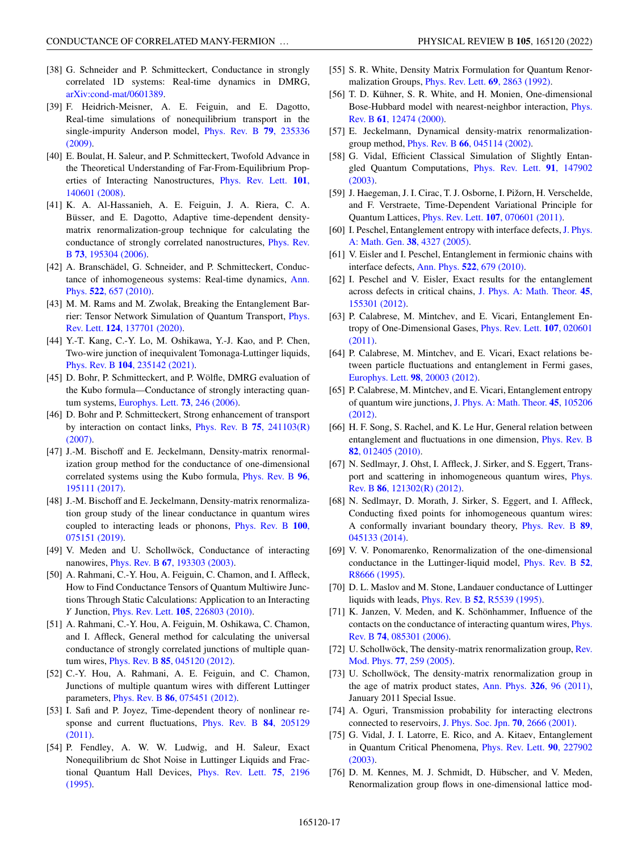- <span id="page-16-0"></span>[38] G. Schneider and P. Schmitteckert, Conductance in strongly correlated 1D systems: Real-time dynamics in DMRG, [arXiv:cond-mat/0601389.](http://arxiv.org/abs/arXiv:cond-mat/0601389)
- [39] F. Heidrich-Meisner, A. E. Feiguin, and E. Dagotto, Real-time simulations of nonequilibrium transport in the [single-impurity Anderson model,](https://doi.org/10.1103/PhysRevB.79.235336) Phys. Rev. B **79**, 235336 (2009).
- [40] E. Boulat, H. Saleur, and P. Schmitteckert, Twofold Advance in the Theoretical Understanding of Far-From-Equilibrium Prop[erties of Interacting Nanostructures,](https://doi.org/10.1103/PhysRevLett.101.140601) Phys. Rev. Lett. **101**, 140601 (2008).
- [41] K. A. Al-Hassanieh, A. E. Feiguin, J. A. Riera, C. A. Büsser, and E. Dagotto, Adaptive time-dependent densitymatrix renormalization-group technique for calculating the [conductance of strongly correlated nanostructures,](https://doi.org/10.1103/PhysRevB.73.195304) Phys. Rev. B **73**, 195304 (2006).
- [42] A. Branschädel, G. Schneider, and P. Schmitteckert, Conduc[tance of inhomogeneous systems: Real-time dynamics,](https://doi.org/10.1002/andp.201000017) Ann. Phys. **522**, 657 (2010).
- [43] M. M. Rams and M. Zwolak, Breaking the Entanglement Bar[rier: Tensor Network Simulation of Quantum Transport,](https://doi.org/10.1103/PhysRevLett.124.137701) Phys. Rev. Lett. **124**, 137701 (2020).
- [44] Y.-T. Kang, C.-Y. Lo, M. Oshikawa, Y.-J. Kao, and P. Chen, Two-wire junction of inequivalent Tomonaga-Luttinger liquids, Phys. Rev. B **104**[, 235142 \(2021\).](https://doi.org/10.1103/PhysRevB.104.235142)
- [45] D. Bohr, P. Schmitteckert, and P. Wölfle, DMRG evaluation of the Kubo formula—Conductance of strongly interacting quantum systems, [Europhys. Lett.](https://doi.org/10.1209/epl/i2005-10377-6) **73**, 246 (2006).
- [46] D. Bohr and P. Schmitteckert, Strong enhancement of transport [by interaction on contact links,](https://doi.org/10.1103/PhysRevB.75.241103) Phys. Rev. B **75**, 241103(R) (2007).
- [47] J.-M. Bischoff and E. Jeckelmann, Density-matrix renormalization group method for the conductance of one-dimensional [correlated systems using the Kubo formula,](https://doi.org/10.1103/PhysRevB.96.195111) Phys. Rev. B **96**, 195111 (2017).
- [48] J.-M. Bischoff and E. Jeckelmann, Density-matrix renormalization group study of the linear conductance in quantum wires [coupled to interacting leads or phonons,](https://doi.org/10.1103/PhysRevB.100.075151) Phys. Rev. B **100**, 075151 (2019).
- [49] V. Meden and U. Schollwöck, Conductance of interacting nanowires, Phys. Rev. B **67**[, 193303 \(2003\).](https://doi.org/10.1103/PhysRevB.67.193303)
- [50] A. Rahmani, C.-Y. Hou, A. Feiguin, C. Chamon, and I. Affleck, How to Find Conductance Tensors of Quantum Multiwire Junctions Through Static Calculations: Application to an Interacting *Y* Junction, Phys. Rev. Lett. **105**[, 226803 \(2010\).](https://doi.org/10.1103/PhysRevLett.105.226803)
- [51] A. Rahmani, C.-Y. Hou, A. Feiguin, M. Oshikawa, C. Chamon, and I. Affleck, General method for calculating the universal conductance of strongly correlated junctions of multiple quantum wires, Phys. Rev. B **85**[, 045120 \(2012\).](https://doi.org/10.1103/PhysRevB.85.045120)
- [52] C.-Y. Hou, A. Rahmani, A. E. Feiguin, and C. Chamon, Junctions of multiple quantum wires with different Luttinger parameters, Phys. Rev. B **86**[, 075451 \(2012\).](https://doi.org/10.1103/PhysRevB.86.075451)
- [53] I. Safi and P. Joyez, Time-dependent theory of nonlinear re[sponse and current fluctuations,](https://doi.org/10.1103/PhysRevB.84.205129) Phys. Rev. B **84**, 205129 (2011).
- [54] P. Fendley, A. W. W. Ludwig, and H. Saleur, Exact Nonequilibrium dc Shot Noise in Luttinger Liquids and Frac[tional Quantum Hall Devices,](https://doi.org/10.1103/PhysRevLett.75.2196) Phys. Rev. Lett. **75**, 2196 (1995).
- [55] S. R. White, Density Matrix Formulation for Quantum Renormalization Groups, [Phys. Rev. Lett.](https://doi.org/10.1103/PhysRevLett.69.2863) **69**, 2863 (1992).
- [56] T. D. Kühner, S. R. White, and H. Monien, One-dimensional [Bose-Hubbard model with nearest-neighbor interaction,](https://doi.org/10.1103/PhysRevB.61.12474) Phys. Rev. B **61**, 12474 (2000).
- [57] E. Jeckelmann, Dynamical density-matrix renormalizationgroup method, Phys. Rev. B **66**[, 045114 \(2002\).](https://doi.org/10.1103/PhysRevB.66.045114)
- [58] G. Vidal, Efficient Classical Simulation of Slightly Entan[gled Quantum Computations,](https://doi.org/10.1103/PhysRevLett.91.147902) Phys. Rev. Lett. **91**, 147902 (2003).
- [59] J. Haegeman, J. I. Cirac, T. J. Osborne, I. Pižorn, H. Verschelde, and F. Verstraete, Time-Dependent Variational Principle for Quantum Lattices, Phys. Rev. Lett. **107**[, 070601 \(2011\).](https://doi.org/10.1103/PhysRevLett.107.070601)
- [60] [I. Peschel, Entanglement entropy with interface defects,](https://doi.org/10.1088/0305-4470/38/20/002) J. Phys. A: Math. Gen. **38**, 4327 (2005).
- [61] V. Eisler and I. Peschel, Entanglement in fermionic chains with interface defects, Ann. Phys. **522**[, 679 \(2010\).](https://doi.org/10.1002/andp.201000055)
- [62] I. Peschel and V. Eisler, Exact results for the entanglement [across defects in critical chains,](https://doi.org/10.1088/1751-8113/45/15/155301) J. Phys. A: Math. Theor. **45**, 155301 (2012).
- [63] P. Calabrese, M. Mintchev, and E. Vicari, Entanglement En[tropy of One-Dimensional Gases,](https://doi.org/10.1103/PhysRevLett.107.020601) Phys. Rev. Lett. **107**, 020601 (2011).
- [64] P. Calabrese, M. Mintchev, and E. Vicari, Exact relations between particle fluctuations and entanglement in Fermi gases, [Europhys. Lett.](https://doi.org/10.1209/0295-5075/98/20003) **98**, 20003 (2012).
- [65] P. Calabrese, M. Mintchev, and E. Vicari, Entanglement entropy [of quantum wire junctions,](https://doi.org/10.1088/1751-8113/45/10/105206) J. Phys. A: Math. Theor. **45**, 105206 (2012).
- [66] H. F. Song, S. Rachel, and K. Le Hur, General relation between [entanglement and fluctuations in one dimension,](https://doi.org/10.1103/PhysRevB.82.012405) Phys. Rev. B **82**, 012405 (2010).
- [67] N. Sedlmayr, J. Ohst, I. Affleck, J. Sirker, and S. Eggert, Trans[port and scattering in inhomogeneous quantum wires,](https://doi.org/10.1103/PhysRevB.86.121302) Phys. Rev. B **86**, 121302(R) (2012).
- [68] N. Sedlmayr, D. Morath, J. Sirker, S. Eggert, and I. Affleck, Conducting fixed points for inhomogeneous quantum wires: [A conformally invariant boundary theory,](https://doi.org/10.1103/PhysRevB.89.045133) Phys. Rev. B **89**, 045133 (2014).
- [69] V. V. Ponomarenko, Renormalization of the one-dimensional [conductance in the Luttinger-liquid model,](https://doi.org/10.1103/PhysRevB.52.R8666) Phys. Rev. B **52**, R8666 (1995).
- [70] D. L. Maslov and M. Stone, Landauer conductance of Luttinger liquids with leads, Phys. Rev. B **52**[, R5539 \(1995\).](https://doi.org/10.1103/PhysRevB.52.R5539)
- [71] K. Janzen, V. Meden, and K. Schönhammer, Influence of the [contacts on the conductance of interacting quantum wires,](https://doi.org/10.1103/PhysRevB.74.085301) Phys. Rev. B **74**, 085301 (2006).
- [72] [U. Schollwöck, The density-matrix renormalization group,](https://doi.org/10.1103/RevModPhys.77.259) Rev. Mod. Phys. **77**, 259 (2005).
- [73] U. Schollwöck, The density-matrix renormalization group in the age of matrix product states, Ann. Phys. **326**[, 96 \(2011\),](https://doi.org/10.1016/j.aop.2010.09.012) January 2011 Special Issue.
- [74] A. Oguri, Transmission probability for interacting electrons connected to reservoirs, [J. Phys. Soc. Jpn.](https://doi.org/10.1143/JPSJ.70.2666) **70**, 2666 (2001).
- [75] G. Vidal, J. I. Latorre, E. Rico, and A. Kitaev, Entanglement [in Quantum Critical Phenomena,](https://doi.org/10.1103/PhysRevLett.90.227902) Phys. Rev. Lett. **90**, 227902 (2003).
- [76] D. M. Kennes, M. J. Schmidt, D. Hübscher, and V. Meden, Renormalization group flows in one-dimensional lattice mod-